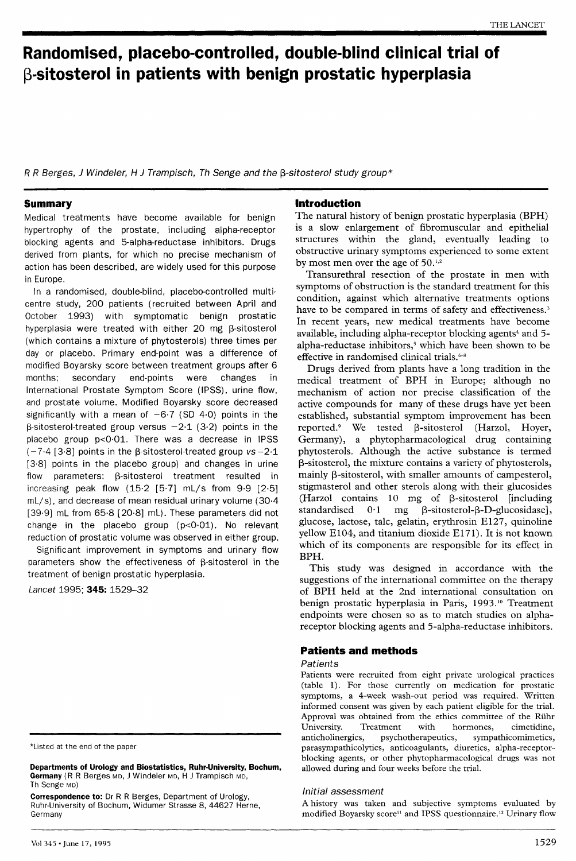# Randomised, placebo-controlled, double-blind clinical trial of  $\beta$ -sitosterol in patients with benign prostatic hyperplasia

R R Berges, J Windeler, H J Trampisch, Th Senge and the  $\beta$ -sitosterol study group\*

# **Summary**

Medical treatments have become available for benign hypertrophy of the prostate, including alpha-receptor blocking agents and 5-alpha-reductase inhibitors. Drugs derived from plants, for which no precise mechanism of action has been described, are widely used for this purpose in Europe.

In a randomised, double-blind, placebo-controlled multicentre study, 200 patients (recruited between April and October 1993) with symptomatic benign prostatic hyperplasia were treated with either 20 mg  $\beta$ -sitosterol (which contains a mixture of phytosterols) three times per day or placebo. Primary end-point was a difference of modified Boyarsky score between treatment groups after 6 months; secondary end-points were changes in International Prostate Symptom Score (IPSS), urine flow, and prostate volume. Modified Boyarsky score decreased significantly with a mean of  $-6.7$  (SD 4.0) points in the  $\beta$ -sitosterol-treated group versus  $-2.1$  (3.2) points in the placebo group p<0&middot;01. There was a decrease in IPSS  $(-7.4)$  [3.8] points in the B-sitosterol-treated group vs-2.1 [3·8] points in the placebo group) and changes in urine flow parameters:  $\beta$ -sitosterol treatment resulted in increasing peak flow (15·2 [5·7] mL/s from 9·9 [2·5] mL/s), and decrease of mean residual urinary volume (30·4 [39·9] mL from 65·8 [20·8] mL). These parameters did not change in the placebo group  $(p<0.01)$ . No relevant reduction of prostatic volume was observed in either group.

Significant improvement in symptoms and urinary flow parameters show the effectiveness of  $\beta$ -sitosterol in the treatment of benign prostatic hyperplasia.

Lancet 1995: 345: 1529-32

\*Listed at the end of the paper

Departments of Urology and Biostatistics, Ruhr-University, Bochum, Germany (R R Berges MD, J Windeler MD, H J Trampisch MD, Th Senge MD)

Correspondence to: Dr R R Berges, Department of Urology, Ruhr-University of Bochum, Widumer Strasse 8, 44627 Herne, Germany

# Introduction

The natural history of benign prostatic hyperplasia (BPH) is a slow enlargement of fibromuscular and epithelial structures within the gland, eventually leading to obstructive urinary symptoms experienced to some extent by most men over the age of 50.<sup>1,2</sup>

Transurethral resection of the prostate in men with symptoms of obstruction is the standard treatment for this condition, against which alternative treatments options have to be compared in terms of safety and effectiveness.<sup>3</sup> In recent years, new medical treatments have become available, including alpha-receptor blocking agents<sup>4</sup> and 5alpha-reductase inhibitors,<sup>5</sup> which have been shown to be effective in randomised clinical trials.<sup>6-8</sup>

Drugs derived from plants have a long tradition in the medical treatment of BPH in Europe; although no mechanism of action nor precise classification of the active compounds for many of these drugs have yet been established, substantial symptom improvement has been reported.<sup>9</sup> We tested  $\beta$ -sitosterol (Harzol, Hoyer, Germany), a phytopharmacological drug containing phytosterols. Although the active substance is termed P-sitosterol, the mixture contains a variety of phytosterols, mainly  $\beta$ -sitosterol, with smaller amounts of campesterol, stigmasterol and other sterols along with their glucosides (Harzol contains 10 mg of  $\beta$ -sitosterol [including standardised 0.1 mg  $\beta$ -sitosterol- $\beta$ -D-glucosidase],  $\beta$ -sitosterol- $\beta$ -D-glucosidase], glucose, lactose, talc, gelatin, erythrosin E127, quinoline yellow E104, and titanium dioxide E171). It is not known which of its components are responsible for its effect in BPH.

This study was designed in accordance with the suggestions of the international committee on the therapy of BPH held at the 2nd international consultation on benign prostatic hyperplasia in Paris, 1993.10 Treatment endpoints were chosen so as to match studies on alphareceptor blocking agents and 5-alpha-reductase inhibitors.

# Patients and methods

# **Patients**

Patients were recruited from eight private urological practices (table 1). For those currently on medication for prostatic symptoms, a 4-week wash-out period was required. Written informed consent was given by each patient eligible for the trial. Approval was obtained from the ethics committee of the Rühr University. Treatment with hormones, cimetidine, University. Treatment with hormones,<br>anticholinergics, psychotherapeutics, sympa sympathicomimetics, parasympathicolytics, anticoagulants, diuretics, alpha-receptorblocking agents, or other phytopharmacological drugs was not allowed during and four weeks before the trial.

# Initial assessment

A history was taken and subjective symptoms evaluated by modified Boyarsky score<sup>11</sup> and IPSS questionnaire.<sup>12</sup> Urinary flow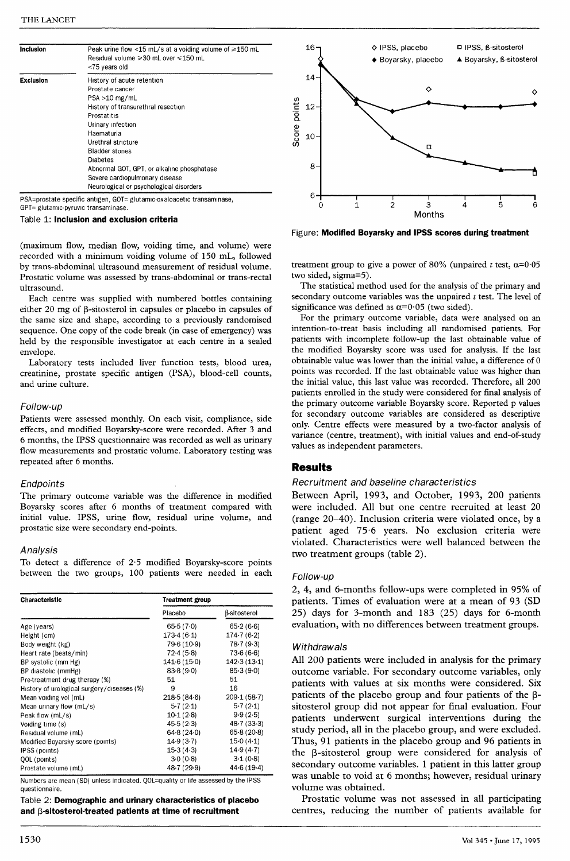| <b>Inclusion</b> | Peak urine flow <15 mL/s at a voiding volume of $\geq 150$ mL<br>Residual volume ≥30 mL over ≤150 mL<br><75 years old |  |  |  |  |  |
|------------------|-----------------------------------------------------------------------------------------------------------------------|--|--|--|--|--|
| <b>Exclusion</b> | History of acute retention                                                                                            |  |  |  |  |  |
|                  | Prostate cancer                                                                                                       |  |  |  |  |  |
|                  | $PSA > 10$ mg/mL                                                                                                      |  |  |  |  |  |
|                  | History of transurethral resection                                                                                    |  |  |  |  |  |
|                  | Prostatitis                                                                                                           |  |  |  |  |  |
|                  | Urinary infection                                                                                                     |  |  |  |  |  |
|                  | Haematuria                                                                                                            |  |  |  |  |  |
|                  | Urethral stricture                                                                                                    |  |  |  |  |  |
|                  | <b>Bladder stones</b>                                                                                                 |  |  |  |  |  |
|                  | Diabetes                                                                                                              |  |  |  |  |  |
|                  | Abnormal GOT, GPT, or alkaline phosphatase                                                                            |  |  |  |  |  |
|                  | Severe cardiopulmonary disease                                                                                        |  |  |  |  |  |
|                  | Neurological or psychological disorders                                                                               |  |  |  |  |  |

PSA=prostate specific antigen, GOT= glutamic-oxaloacetic transaminase, GPT= glutamic-pyruvic transaminase.

Table 1: Inclusion and exclusion criteria

(maximum flow, median flow, voiding time, and volume) were recorded with a minimum voiding volume of 150 mL, followed by trans-abdominal ultrasound measurement of residual volume. Prostatic volume was assessed by trans-abdominal or trans-rectal ultrasound.

Each centre was supplied with numbered bottles containing either 20 mg of  $\beta$ -sitosterol in capsules or placebo in capsules of the same size and shape, according to a previously randomised sequence. One copy of the code break (in case of emergency) was held by the responsible investigator at each centre in a sealed envelope.

Laboratory tests included liver function tests, blood urea, creatinine, prostate specific antigen (PSA), blood-cell counts, and urine culture.

### Follow-up

Patients were assessed monthly. On each visit, compliance, side effects, and modified Boyarsky-score were recorded. After 3 and 6 months, the IPSS questionnaire was recorded as well as urinary flow measurements and prostatic volume. Laboratory testing was repeated after 6 months.

### Endpoints

The primary outcome variable was the difference in modified Boyarsky scores after 6 months of treatment compared with initial value. IPSS, urine flow, residual urine volume, and prostatic size were secondary end-points.

### Analysis

To detect a difference of 2-5 modified Boyarsky-score points between the two groups, 100 patients were needed in each

| Characteristic                             | <b>Treatment group</b> |              |  |  |
|--------------------------------------------|------------------------|--------------|--|--|
|                                            | Placebo                | β-sitosterol |  |  |
| Age (years)                                | 65.5(7.0)              | 65.2(6.6)    |  |  |
| Height (cm)                                | 173.4(6.1)             | 174.7(6.2)   |  |  |
| Body weight (kg)                           | 79.6 (10.9)            | 78.7(9.3)    |  |  |
| Heart rate (beats/min)                     | 72.4(5.8)              | $73-6(6-6)$  |  |  |
| BP systolic (mm Hg)                        | 141.6(15.0)            | 142.3(13.1)  |  |  |
| BP diastolic (mmHg)                        | 83.8(9.0)              | 85.3(9.0)    |  |  |
| Pre-treatment drug therapy (%)             | 51                     | 51           |  |  |
| History of urological surgery/diseases (%) | 9                      | 16           |  |  |
| Mean voiding vol (mL)                      | $218-5(84-6)$          | 209.1(58.7)  |  |  |
| Mean urinary flow (mL/s)                   | 5.7(2.1)               | 5.7(2.1)     |  |  |
| Peak flow (mL/s)                           | 10.1(2.8)              | 9.9(2.5)     |  |  |
| Voiding time (s)                           | 45.5(2.3)              | 48.7(33.3)   |  |  |
| Residual volume (mL)                       | 64.8(24.0)             | 65.8(20.8)   |  |  |
| Modified Boyarsky score (points)           | 14.9(3.7)              | 15.0(4.1)    |  |  |
| IPSS (points)                              | $15-3(4-3)$            | $14-9(4-7)$  |  |  |
| QOL (points)                               | 3.0(0.8)               | 3.1(0.8)     |  |  |
| Prostate volume (mL)                       | 48.7 (29.9)            | 44.6(19.4)   |  |  |

Numbers are mean (SD) unless indicated. QOL=quality or life assessed by the IPSS questionnaire.

Table 2: Demographic and urinary characteristics of placebo and  $\beta$ -sitosterol-treated patients at time of recruitment



Figure: Modified Boyarsky and IPSS scores during treatment

treatment group to give a power of 80% (unpaired t test,  $\alpha$ =0.05 two sided, sigma=5).

The statistical method used for the analysis of the primary and secondary outcome variables was the unpaired  $t$  test. The level of significance was defined as  $\alpha=0.05$  (two sided).

For the primary outcome variable, data were analysed on an intention-to-treat basis including all randomised patients. For patients with incomplete follow-up the last obtainable value of the modified Boyarsky score was used for analysis. If the last obtainable value was lower than the initial value, a difference of 0 points was recorded. If the last obtainable value was higher than the initial value, this last value was recorded. Therefore, all 200 patients enrolled in the study were considered for final analysis of the primary outcome variable Boyarsky score. Reported p values for secondary outcome variables are considered as descriptive only. Centre effects were measured by a two-factor analysis of variance (centre, treatment), with initial values and end-of-study values as independent parameters.

# Results

# Recruitment and baseline characteristics

Between April, 1993, and October, 1993, 200 patients were included. All but one centre recruited at least 20 (range 20-40). Inclusion criteria were violated once, by a patient aged 75-6 years. No exclusion criteria were violated. Characteristics were well balanced between the two treatment groups (table 2).

## Follow-up

2, 4, and 6-months follow-ups were completed in 95% of patients. Times of evaluation were at a mean of 93 (SD 25) days for 3-month and 183 (25) days for 6-month evaluation, with no differences between treatment groups.

## **Withdrawals**

All 200 patients were included in analysis for the primary outcome variable. For secondary outcome variables, only patients with values at six months were considered. Six patients of the placebo group and four patients of the  $\beta$ sitosterol group did not appear for final evaluation. Four patients underwent surgical interventions during the study period, all in the placebo group, and were excluded. Thus, 91 patients in the placebo group and 96 patients in the  $\beta$ -sitosterol group were considered for analysis of secondary outcome variables. 1 patient in this latter group was unable to void at 6 months; however, residual urinary volume was obtained.

Prostatic volume was not assessed in all participating centres, reducing the number of patients available for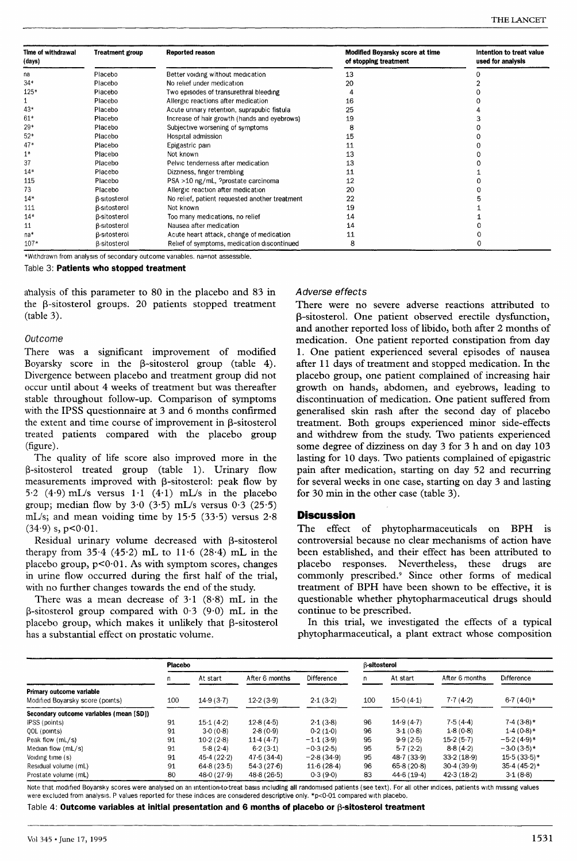| Time of withdrawal<br>(days) | <b>Treatment group</b> | Reported reason                                | Modified Boyarsky score at time<br>of stopping treatment | Intention to treat value<br>used for analysis |
|------------------------------|------------------------|------------------------------------------------|----------------------------------------------------------|-----------------------------------------------|
| na                           | Placebo                | Better voiding without medication              | 13                                                       |                                               |
| $34*$                        | Placebo                | No relief under medication                     | 20                                                       |                                               |
| 125*                         | Placebo                | Two episodes of transurethral bleeding         |                                                          |                                               |
|                              | Placebo                | Allergic reactions after medication            | 16                                                       |                                               |
| 43*                          | Placebo                | Acute urinary retention, suprapubic fistula    | 25                                                       |                                               |
| $61*$                        | Placebo                | Increase of hair growth (hands and eyebrows)   | 19                                                       |                                               |
| $29*$                        | Placebo                | Subjective worsening of symptoms               |                                                          |                                               |
| $52*$                        | Placebo                | Hospital admission                             | 15                                                       |                                               |
| $47*$                        | Placebo                | Epigastric pain                                | 11                                                       |                                               |
| $1*$                         | Placebo                | Not known                                      | 13                                                       |                                               |
| 37                           | Placebo                | Pelvic tenderness after medication             | 13                                                       |                                               |
| $14*$                        | Placebo                | Dizziness, finger trembling                    | 11                                                       |                                               |
| 115                          | Placebo                | PSA >10 ng/mL, ?prostate carcinoma             | 12                                                       |                                               |
| 73                           | Placebo                | Allergic reaction after medication             | 20                                                       |                                               |
| $14*$                        | <b>B-sitosterol</b>    | No relief, patient requested another treatment | 22                                                       |                                               |
| 111                          | <b>B-sitosterol</b>    | Not known                                      | 19                                                       |                                               |
| $14*$                        | <b>B-sitosterol</b>    | Too many medications, no relief                | 14                                                       |                                               |
| 11                           | <b>B-sitosterol</b>    | Nausea after medication                        | 14                                                       |                                               |
| na*                          | <b>B-sitosterol</b>    | Acute heart attack, change of medication       | 11                                                       |                                               |
| $107*$                       | <b>B-sitosterol</b>    | Relief of symptoms, medication discontinued    | 8                                                        |                                               |

\*Withdrawn from analysis of secondary outcome variables. na=not assessible.

Table 3: Patients who stopped treatment

analysis of this parameter to 80 in the placebo and 83 in the  $\beta$ -sitosterol groups. 20 patients stopped treatment (table 3).

### Outcome

There was a significant improvement of modified Boyarsky score in the  $\beta$ -sitosterol group (table 4). Divergence between placebo and treatment group did not occur until about 4 weeks of treatment but was thereafter stable throughout follow-up. Comparison of symptoms with the IPSS questionnaire at 3 and 6 months confirmed the extent and time course of improvement in B-sitosterol treated patients compared with the placebo group (figure).

The quality of life score also improved more in the  $\beta$ -sitosterol treated group (table 1). Urinary flow measurements improved with  $\beta$ -sitosterol: peak flow by 5.2 (4.9) mL/s versus  $1.1$  (4.1) mL/s in the placebo group; median flow by 3.0 (3.5) mL/s versus  $0.3$  (25.5) mL/s; and mean voiding time by 15.5 (33.5) versus  $2.8$  $(34.9)$  s,  $p < 0.01$ .

Residual urinary volume decreased with  $\beta$ -sitosterol therapy from  $35.4$  (45.2) mL to  $11.6$  (28.4) mL in the placebo group,  $p<0.01$ . As with symptom scores, changes in urine flow occurred during the first half of the trial, with no further changes towards the end of the study.

There was a mean decrease of  $3.1$  (8.8) mL in the  $\beta$ -sitosterol group compared with 0.3 (9.0) mL in the placebo group, which makes it unlikely that  $\beta$ -sitosterol has a substantial effect on prostatic volume.

# Adverse effects

There were no severe adverse reactions attributed to (3-sitosterol. One patient observed erectile dysfunction, and another reported loss of libido, both after 2 months of medication. One patient reported constipation from day 1. One patient experienced several episodes of nausea after 11 days of treatment and stopped medication. In the placebo group, one patient complained of increasing hair growth on hands, abdomen, and eyebrows, leading to discontinuation of medication. One patient suffered from generalised skin rash after the second day of placebo treatment. Both groups experienced minor side-effects and withdrew from the study. Two patients experienced some degree of dizziness on day 3 for 3 h and on day 103 lasting for 10 days. Two patients complained of epigastric pain after medication, starting on day 52 and recurring for several weeks in one case, starting on day 3 and lasting for 30 min in the other case (table 3).

# **Discussion**

The effect of phytopharmaceuticals on BPH is controversial because no clear mechanisms of action have been established, and their effect has been attributed to placebo responses. Nevertheless, these drugs are commonly prescribed.9 Since other forms of medical treatment of BPH have been shown to be effective, it is questionable whether phytopharmaceutical drugs should continue to be prescribed.

In this trial, we investigated the effects of a typical phytopharmaceutical, a plant extract whose composition

|                                                              | <b>Placebo</b> |            |                |              | <b>B-sitosterol</b> |            |                |                |
|--------------------------------------------------------------|----------------|------------|----------------|--------------|---------------------|------------|----------------|----------------|
|                                                              | n.             | At start   | After 6 months | Difference   | n.                  | At start   | After 6 months | Difference     |
| Primary outcome variable<br>Modified Boyarsky score (points) | 100            | 14.9(3.7)  | 12.2(3.9)      | 2.1(3.2)     | 100                 | 15.0(4.1)  | 7.7(4.2)       | $6.7(4.0)*$    |
| Secondary outcome variables (mean [SD])                      |                |            |                |              |                     |            |                |                |
| IPSS (points)                                                | 91             | 15.1(4.2)  | 12.8(4.5)      | 2.1(3.8)     | 96                  | $149(4-7)$ | 7.5(4.4)       | $7.4(3.8)*$    |
| QOL (points)                                                 | 91             | 3.0(0.8)   | 2.8(0.9)       | 0.2(1.0)     | 96                  | 3.1(0.8)   | 1.8(0.8)       | $1.4(0.8)*$    |
| Peak flow (mL/s)                                             | 91             | 10.2(2.8)  | 11.4(4.7)      | $-1.1(3.9)$  | 95                  | 9.9(2.5)   | 15.2(5.7)      | $-5.2(4.9)*$   |
| Median flow $(mL/s)$                                         | 91             | 5.8(2.4)   | 6.2(3.1)       | $-0.3(2.5)$  | 95                  | $5-7(2-2)$ | 8.8(4.2)       | $-3.0(3.5)*$   |
| Voiding time (s)                                             | 91             | 45.4(22.2) | 47.5(34.4)     | $-2.8(34.9)$ | 95                  | 48.7(33.9) | 33.2(18.9)     | $15.5(33.5)*$  |
| Residual volume (mL)                                         | 91             | 64.8(23.5) | 54.3(27.6)     | 11.6(28.4)   | 96                  | 65.8(20.8) | 30.4(39.9)     | $35.4(45.2)$ * |
| Prostate volume (mL)                                         | 80             | 48.0(27.9) | 48.8(26.5)     | 0.3(9.0)     | 83                  | 44.6(19.4) | 42.3(18.2)     | 3.1(8.8)       |

Note that modified Boyarsky scores were analysed on an intention-to-treat basis including all randomised patients (see text). For all other indices, patients with missing values were excluded from analysis. P values reported for these indices are considered descriptive only. \*p<0.01 compared with placebo.

Table 4: Outcome variables at initial presentation and 6 months of placebo or  $\beta$ -sitosterol treatment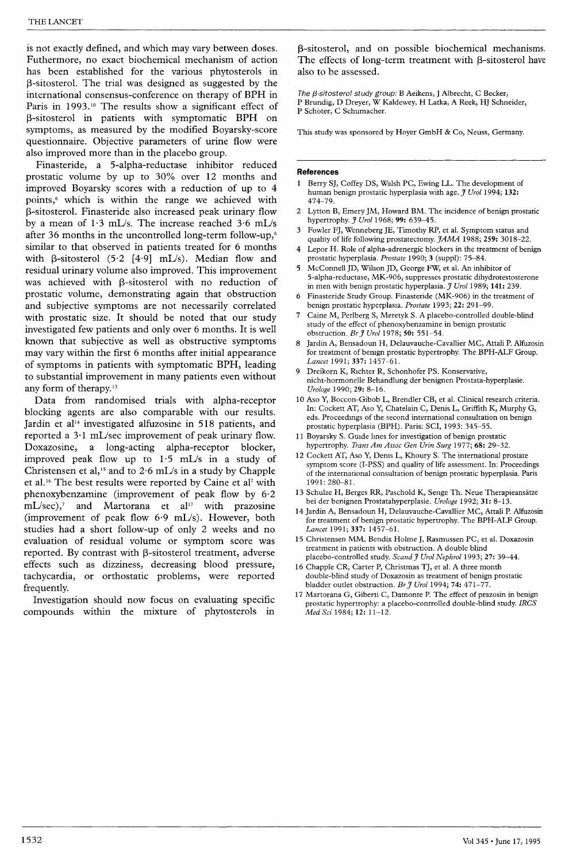is not exactly defined, and which may vary between doses. Futhermore, no exact biochemical mechanism of action has been established for the various phytosterols in (3-sitosterol. The trial was designed as suggested by the international consensus-conference on therapy of BPH in Paris in 1993.<sup>10</sup> The results show a significant effect of  $\beta$ -sitosterol in patients with symptomatic BPH on symptoms, as measured by the modified Boyarsky-score questionnaire. Objective parameters of urine flow were also improved more than in the placebo group.

Finasteride, a 5-alpha-reductase inhibitor reduced prostatic volume by up to 30% over 12 months and improved Boyarsky scores with a reduction of up to 4 points,<sup>6</sup> which is within the range we achieved with P-sitosterol. Finasteride also increased peak urinary flow by a mean of 1-3 mL/s. The increase reached 3-6 mL/s after 36 months in the uncontrolled long-term follow-up,6 similar to that observed in patients treated for 6 months with  $\beta$ -sitosterol (5.2 [4.9] mL/s). Median flow and residual urinary volume also improved. This improvement was achieved with  $\beta$ -sitosterol with no reduction of prostatic volume, demonstrating again that obstruction and subjective symptoms are not necessarily correlated with prostatic size. It should be noted that our study investigated few patients and only over 6 months. It is well known that subjective as well as obstructive symptoms may vary within the first 6 months after initial appearance of symptoms in patients with symptomatic BPH, leading to substantial improvement in many patients even without any form of therapy.<sup>13</sup>

Data from randomised trials with alpha-receptor blocking agents are also comparable with our results. Jardin et al<sup>14</sup> investigated alfuzosine in 518 patients, and reported a 3-1 mL/sec improvement of peak urinary flow. Doxazosine, a long-acting alpha-receptor blocker, improved peak flow up to 1-5 mL/s in a study of Christensen et al,<sup>15</sup> and to 2.6 mL/s in a study by Chapple et al.16 The best results were reported by Caine et al' with phenoxybenzamine (improvement of peak flow by 6-2 mL/sec),<sup>7</sup> and Martorana et al<sup>17</sup> with prazosine (improvement of peak flow 6-9 mL/s). However, both studies had a short follow-up of only 2 weeks and no evaluation of residual volume or symptom score was reported. By contrast with  $\beta$ -sitosterol treatment, adverse effects such as dizziness, decreasing blood pressure, tachycardia, or orthostatic problems, were reported frequently.

Investigation should now focus on evaluating specific compounds within the mixture of phytosterols in

(3-sitosterol, and on possible biochemical mechanisms. The effects of long-term treatment with  $\beta$ -sitosterol have also to be assessed.

The  $\beta$ -sitosterol study group: B Aeikens, J Albrecht, C Becker, P Brundig, D Dreyer, W Kaldewey, H Latka, A Reek, HJ Schneider, P Schoter, C Schumacher.

This study was sponsored by Hoyer GmbH & Co, Neuss, Germany.

### References

- Berry SJ, Coffey DS, Walsh PC, Ewing LL. The development of human benign prostatic hyperplasia with age.  $\tilde{\jmath}$  Urol 1994; 132: 474-79.
- 2 Lytton B, Emery JM, Howard BM. The incidence of benign prostatic hypertrophy. *J Urol* 1968; 99: 639-45.
- Fowler FJ, Wenneberg JE, Timothy RP, et al. Symptom status and quality of life following prostatectomy.  $JAMA$  1988; 259: 3018-22.
- Lepor H. Role of alpha-adrenergic blockers in the treatment of benign prostatic hyperplasia. Prostate 1990; 3 (suppl): 75-84.
- 5 McConnell JD, Wilson JD, George FW, et al. An inhibitor of 5-alpha-reductase, MK-906, suppresses prostatic dihydrotestosterone in men with benign prostatic hyperplasia. J Urol 1989; 141: 239.
- 6 Finasteride Study Group. Finasteride (MK-906) in the treatment of benign prostatic hyperplasia. Prostate 1993; 22: 291-99.
- Caine M, Perlberg S, Meretyk S. A placebo-controlled double-blind study of the effect of phenoxybenzamine in benign prostatic obstruction. Br J Urol 1978; 50: 551-54.
- Jardin A, Bensadoun H, Delauvauche-Cavallier MC, Attali P. Alfuzosin for treatment of benign prostatic hypertrophy. The BPH-ALF Group. Lancet 1991; 337: 1457-61.
- 9 Dreikorn K, Richter R, Schonhofer PS. Konservative, nicht-hormonelle Behandlung der benignen Prostata-hyperplasie. Urologe 1990; 29: 8-16.
- 10 Aso Y, Boccon-Gibob L, Brendler CB, et al. Clinical research criteria. In: Cockett AT, Aso Y, Chatelain C, Denis L, Griffith K, Murphy G, eds. Proceedings of the second international consultation on benign prostatic hyperplasia (BPH). Paris: SCI, 1993: 345-55.
- 11 Boyarsky S. Guide lines for investigation of benign prostatic hypertrophy. Trans Am Assoc Gen Urin Surg 1977; 68: 29-32.
- 12 Cockett AT, Aso Y, Denis L, Khoury S. The international prostate symptom score (I-PSS) and quality of life assessment. In: Proceedings of the international consultation of benign prostatic hyperplasia. Paris 1991: 280-81.
- 13 Schulze H, Berges RR, Paschold K, Senge Th. Neue Therapieansätze bei der benignen Prostatahyperplasie. Urologe 1992; 31: 8-13.
- 14 Jardin A, Bensadoun H, Delauvauche-Cavallier MC, Attali P. Alfuzosin for treatment of benign prostatic hypertrophy. The BPH-ALF Group. Lancet 1991; 337: 1457-61.
- 15 Christensen MM, Bendix Holme J, Rasmussen PC, et al. Doxazosin treatment in patients with obstruction. A double blind placebo-controlled study. Scand J Urol Nephrol 1993; 27: 39-44.
- 16 Chapple CR, Carter P, Christmas TJ, et al. A three month double-blind study of Doxazosin as treatment of benign prostatic bladder outlet obstruction. Br J Urol 1994; 74: 471-77.
- 17 Martorana G, Giberti C, Damonte P. The effect of prazosin in benign prostatic hypertrophy: a placebo-controlled double-blind study. IRCS Med Sci 1984; 12: 11-12.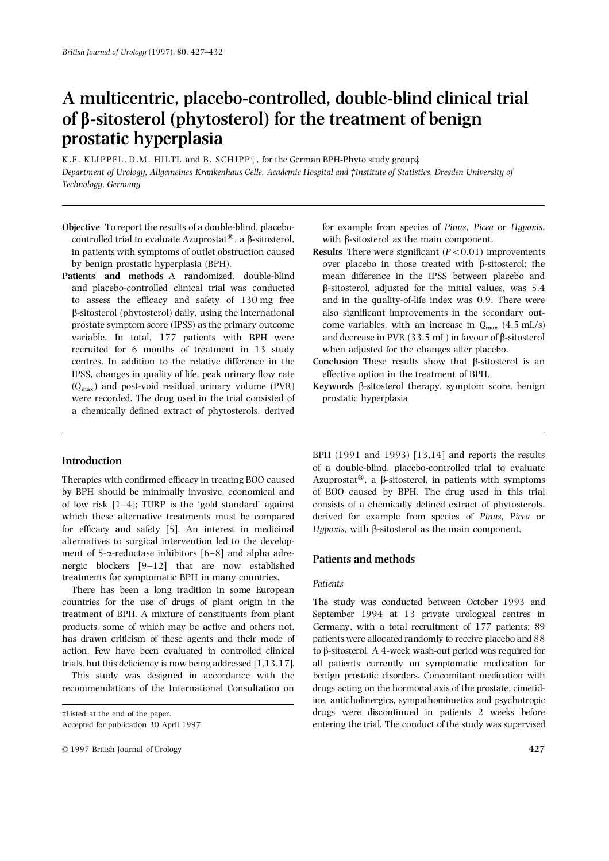# A multicentric, placebo-controlled, double-blind clinical trial of  $\beta$ -sitosterol (phytosterol) for the treatment of benign prostatic hyperplasia

K.F. KLIPPEL, D.M. HILTL and B. SCHIPP<sup>†</sup>, for the German BPH-Phyto study group‡ Department of Urology, Allgemeines Krankenhaus Celle, Academic Hospital and †Institute of Statistics, Dresden University of Technology, Germany

- controlled trial to evaluate Azuprostat<sup>®</sup>, a  $\beta$ -sitosterol, with  $\beta$ -sitosterol as the main component. in patients with symptoms of outlet obstruction caused Results There were significant  $(P<0.01)$  improvements
- variable. In total, 177 patients with BPH were recruited for 6 months of treatment in 13 study when adjusted for the changes after placebo. IPSS, changes in quality of life, peak urinary flow rate effective option in the treatment of BPH. were recorded. The drug used in the trial consisted of a chemically defined extract of phytosterols, derived

of low risk [1–4]; TURP is the 'gold standard' against consists of a chemically defined extract of phytosterols, which these alternative treatments must be compared derived for example from species of Pinus, Picea or for efficacy and safety  $[5]$ . An interest in medicinal Hypoxis, with  $\beta$ -sitosterol as the main component. alternatives to surgical intervention led to the development of 5- $\alpha$ -reductase inhibitors [6–8] and alpha adre-<br>nergic blockers [9–12] that are now established **Patients and methods** treatments for symptomatic BPH in many countries. Patients There has been a long tradition in some European

countries for the use of drugs of plant origin in the The study was conducted between October 1993 and treatment of BPH. A mixture of constituents from plant September 1994 at 13 private urological centres in products, some of which may be active and others not, Germany, with a total recruitment of 177 patients; 89 has drawn criticism of these agents and their mode of patients were allocated randomly to receive placebo and 88 action. Few have been evaluated in controlled clinical to  $\beta$ -sitosterol. A 4-week wash-out period was required for

Objective To report the results of a double-blind, placebo- for example from species of Pinus, Picea or Hypoxis,

- by benign prostatic hyperplasia (BPH).  $\qquad \qquad \text{over placebo in those treated with } \beta\text{-sitosterol; the}$ Patients and methods A randomized, double-blind mean difference in the IPSS between placebo and and placebo-controlled clinical trial was conducted  $\beta$ -sitosterol, adjusted for the initial values, was 5.4 to assess the efficacy and safety of 130 mg free and in the quality-of-life index was 0.9. There were b-sitosterol (phytosterol) daily, using the international also significant improvements in the secondary outprostate symptom score (IPSS) as the primary outcome come variables, with an increase in  $Q_{\text{max}}$  (4.5 mL/s) variable. In total, 177 patients with BPH were and decrease in PVR (33.5 mL) in favour of  $\beta$ -sitosterol
	- centres. In addition to the relative difference in the **Conclusion** These results show that  $\beta$ -sitosterol is an
	- ( $Q_{\text{max}}$ ) and post-void residual urinary volume (PVR) **Keywords**  $\beta$ -sitosterol therapy, symptom score, benign were recorded. The drug used in the trial consisted of prostatic hyperplasia

BPH (1991 and 1993) [13,14] and reports the results Introduction **Introduction** of a double-blind, placebo-controlled trial to evaluate Therapies with confirmed efficacy in treating BOO caused Azuprostat®, a  $\beta$ -sitosterol, in patients with symptoms by BPH should be minimally invasive, economical and of BOO caused by BPH. The drug used in this trial

trials, but this deficiency is now being addressed [1,13,17]. all patients currently on symptomatic medication for This study was designed in accordance with the benign prostatic disorders. Concomitant medication with recommendations of the International Consultation on drugs acting on the hormonal axis of the prostate, cimetidine, anticholinergics, sympathomimetics and psychotropic ‡Listed at the end of the paper. drugs were discontinued in patients 2 weeks before Accepted for publication 30 April 1997 entering the trial. The conduct of the study was supervised

<sup>© 1997</sup> British Journal of Urology 427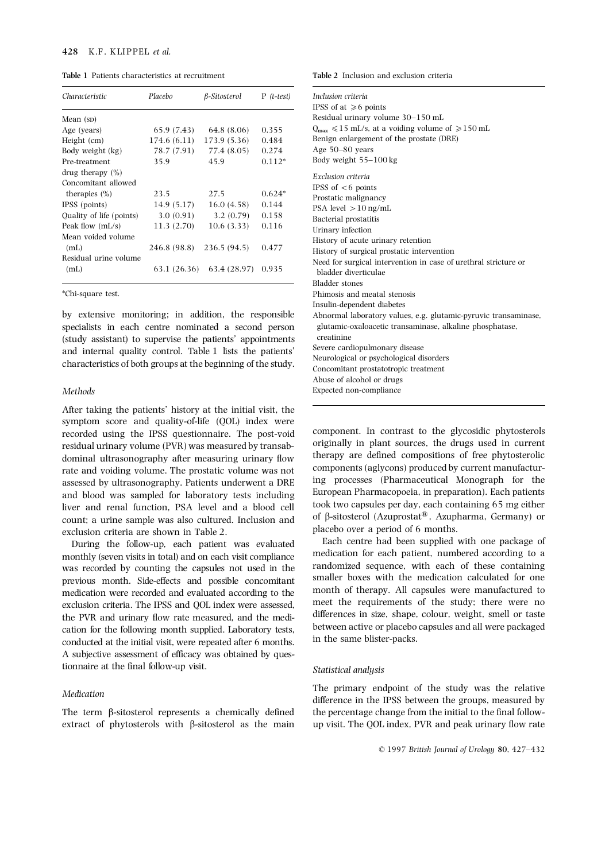### 428 K.F. KLIPPEL et al.

| Characteristic                                                                                                                                                  | Placebo                                                       | $\beta$ -Sitosterol                                           | $P$ ( <i>t</i> -test)                        | Inclusion criteria<br>IPSS of at $\geq 6$ points                                                                                                                               |
|-----------------------------------------------------------------------------------------------------------------------------------------------------------------|---------------------------------------------------------------|---------------------------------------------------------------|----------------------------------------------|--------------------------------------------------------------------------------------------------------------------------------------------------------------------------------|
| Mean $(sD)$                                                                                                                                                     |                                                               |                                                               |                                              | Residual urinary volume 30-150 mL                                                                                                                                              |
| Age (years)                                                                                                                                                     | 65.9 (7.43)                                                   | 64.8 (8.06)                                                   | 0.355                                        | $Q_{\text{max}} \le 15$ mL/s, at a voiding volume of $\ge 150$ mL                                                                                                              |
| Height (cm)                                                                                                                                                     | 174.6(6.11)                                                   | 173.9 (5.36)                                                  | 0.484                                        | Benign enlargement of the prostate (DRE)                                                                                                                                       |
| Body weight (kg)                                                                                                                                                | 78.7 (7.91)                                                   | 77.4 (8.05)                                                   | 0.274                                        | Age $50-80$ years                                                                                                                                                              |
| Pre-treatment                                                                                                                                                   | 35.9                                                          | 45.9                                                          | $0.112*$                                     | Body weight $55-100$ kg                                                                                                                                                        |
| drug therapy $(\%)$<br>Concomitant allowed<br>therapies $(\%)$<br>IPSS (points)<br>Ouality of life (points)<br>Peak flow $(mL/s)$<br>Mean voided volume<br>(mL) | 23.5<br>14.9(5.17)<br>3.0(0.91)<br>11.3(2.70)<br>246.8 (98.8) | 27.5<br>16.0(4.58)<br>3.2(0.79)<br>10.6(3.33)<br>236.5 (94.5) | $0.624*$<br>0.144<br>0.158<br>0.116<br>0.477 | Exclusion criteria<br>IPSS of $<6$ points<br>Prostatic malignancy<br>PSA level $>10$ ng/mL<br>Bacterial prostatitis<br>Urinary infection<br>History of acute urinary retention |
| Residual urine volume<br>(mL)                                                                                                                                   | 63.1 (26.36)                                                  | 63.4 (28.97)                                                  | 0.935                                        | History of surgical prostatic intervention<br>Need for surgical intervention in case of urethral stricture or<br>bladder diverticulae                                          |

After taking the patients' history at the initial visit, the symptom score and quality-of-life (QOL) index were recorded using the IPSS questionnaire. The post-void component. In contrast to the glycosidic phytosterols residual urinary volume (PVR) was measured by transable originally in plant sources, the drugs used in current residual urinary volume (PVR) was measured by transab-<br>dominal ultrasonography after measuring urinary flow therapy are defined compositions of free phytosterolic dominal ultrasonography after measuring urinary flow therapy are defined compositions of free phytosterolic<br>rate and voiding volume. The prostatic volume was not components (aglycons) produced by current manufacturrate and voiding volume. The prostatic volume was not<br>components (aglycons) produced by current manufactur-<br>reserved by ultrasonomanly Patients underwant a DRF ing processes (Pharmaceutical Monograph for the assessed by ultrasonography. Patients underwent a DRE ing processes (Pharmaceutical Monograph for the and blood was sampled for laboratory tests including European Pharmacopoeia, in preparation). Each patients and blood was sampled for laboratory tests including European Pharmacopoeia, in preparation). Each patients liver and renal function PSA level and a blood cell took two capsules per day, each containing 65 mg either liver and renal function, PSA level and a blood cell took two capsules per day, each containing 65 mg either count: a urine sample was also cultured Inclusion and of  $\beta$ -sitosterol (Azuprostat<sup>®</sup>, Azupharma, Germany) or count; a urine sample was also cultured. Inclusion and of β-sitosterol (Azuprostat<sup>®</sup>, Azupl<br>exclusion criteria are shown in Table 2 placebo over a period of 6 months. exclusion criteria are shown in Table 2.<br>During the follow-un each patient was evaluated and been supplied with one package of

was recorded by counting the capsules not used in the randomized sequence, with each of these containing<br>marriaus month Side offects and possible concernitorial smaller boxes with the medication calculated for one previous month. Side-effects and possible concomitant smaller boxes with the medication calculated for one predication were recorded and evaluated according to the month of therapy. All capsules were manufactured to medication were recorded and evaluated according to the month of therapy. All capsules were manufactured to exclusion criteria. The IPSS and OOI index were assessed meet the requirements of the study; there were no exclusion criteria. The IPSS and QOL index were assessed, in eet the requirements of the study; there were no<br>the PVP and urinary flow rate measured and the mediate differences in size, shape, colour, weight, smell or tast the PVR and urinary flow rate measured, and the medi-<br>cation for the following month supplied Laboratory tests between active or placebo capsules and all were packaged cation for the following month supplied. Laboratory tests, between active or placebo conducted at the initial visit were repeated after 6 months in the same blister-packs. conducted at the initial visit, were repeated after 6 months. A subjective assessment of efficacy was obtained by questionnaire at the final follow-up visit. Statistical analysis

extract of phytosterols with  $\beta$ -sitosterol as the main up visit. The QOL index, PVR and peak urinary flow rate

Table 1 Patients characteristics at recruitment Table 2 Inclusion and exclusion criteria

| Characteristic                                                | Placebo      | <i><b>B-Sitosterol</b></i>  | $P$ ( <i>t</i> -test) | Inclusion criteria<br>IPSS of at $\geq 6$ points                  |
|---------------------------------------------------------------|--------------|-----------------------------|-----------------------|-------------------------------------------------------------------|
| Mean (sp)                                                     |              |                             |                       | Residual urinary volume 30-150 mL                                 |
| Age (years)                                                   | 65.9(7.43)   | 64.8 (8.06)                 | 0.355                 | $Q_{\text{max}} \le 15$ mL/s, at a voiding volume of $\ge 150$ mL |
| Height (cm)                                                   | 174.6(6.11)  | 173.9 (5.36)                | 0.484                 | Benign enlargement of the prostate (DRE)                          |
| Body weight (kg)                                              | 78.7 (7.91)  | 77.4 (8.05)                 | 0.274                 | Age $50-80$ years                                                 |
| Pre-treatment                                                 | 35.9         | 45.9                        | $0.112*$              | Body weight 55-100 kg                                             |
| drug therapy $(\%)$                                           |              |                             |                       | Exclusion criteria                                                |
| Concomitant allowed                                           |              |                             |                       | IPSS of $< 6$ points                                              |
| therapies $(\% )$                                             | 23.5         | 27.5                        | $0.624*$              | Prostatic malignancy                                              |
| IPSS (points)                                                 | 14.9(5.17)   | 16.0(4.58)                  | 0.144                 | PSA level $>10$ ng/mL                                             |
| Quality of life (points)                                      | 3.0(0.91)    | 3.2(0.79)                   | 0.158                 | Bacterial prostatitis                                             |
| Peak flow (mL/s)                                              | 11.3(2.70)   | 10.6(3.33)                  | 0.116                 | Urinary infection                                                 |
| Mean voided volume                                            |              |                             |                       | History of acute urinary retention                                |
| (mL)                                                          | 246.8 (98.8) | 236.5(94.5)                 | 0.477                 | History of surgical prostatic intervention                        |
| Residual urine volume                                         |              |                             |                       | Need for surgical intervention in case of urethral stricture or   |
| (mL)                                                          |              | $63.1(26.36)$ $63.4(28.97)$ | 0.935                 | bladder diverticulae                                              |
|                                                               |              |                             |                       | <b>Bladder</b> stones                                             |
| *Chi-square test.                                             |              |                             |                       | Phimosis and meatal stenosis                                      |
|                                                               |              |                             |                       | Insulin-dependent diabetes                                        |
| by extensive monitoring; in addition, the responsible         |              |                             |                       | Abnormal laboratory values, e.g. glutamic-pyruvic transaminase,   |
| specialists in each centre nominated a second person          |              |                             |                       | glutamic-oxaloacetic transaminase, alkaline phosphatase,          |
| (study assistant) to supervise the patients' appointments     |              |                             |                       | creatinine                                                        |
|                                                               |              |                             |                       | Severe cardiopulmonary disease                                    |
| and internal quality control. Table 1 lists the patients'     |              |                             |                       | Neurological or psychological disorders                           |
| characteristics of both groups at the beginning of the study. |              |                             |                       | Concomitant prostatotropic treatment                              |
|                                                               |              |                             |                       | Abuse of alcohol or drugs                                         |
| Methods                                                       |              |                             |                       | Expected non-compliance                                           |
|                                                               |              |                             |                       |                                                                   |

During the follow-up, each patient was evaluated Each centre had been supplied with one package of onthly (seven visits in total) and on each visit compliance medication for each patient, numbered according to a monthly (seven visits in total) and on each visit compliance medication for each patient, numbered according to a<br>was recorded by counting the cancules not used in the randomized sequence, with each of these containing

The primary endpoint of the study was the relative Medication difference in the IPSS between the groups, measured by The term  $\beta$ -sitosterol represents a chemically defined the percentage change from the initial to the final follow-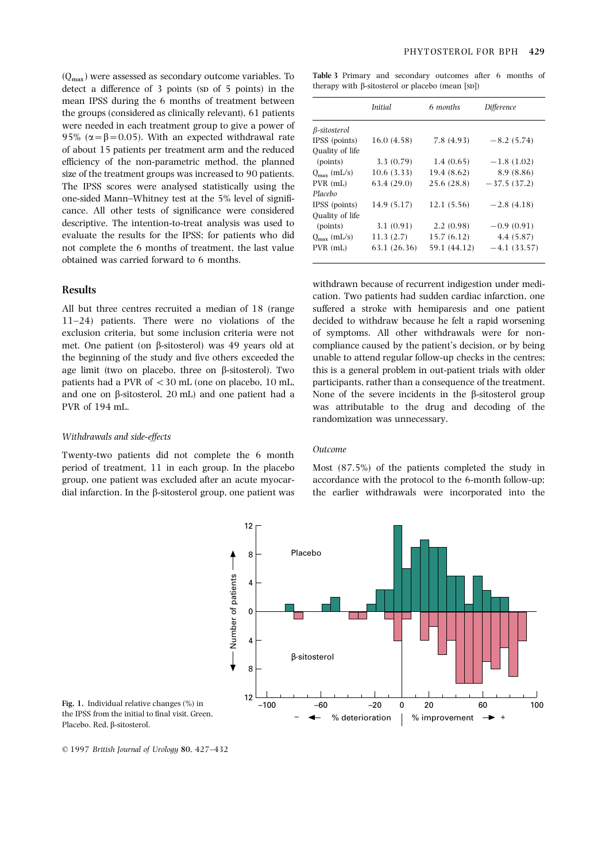detect a difference of 3 points (sp of 5 points) in the mean IPSS during the 6 months of treatment between the groups (considered as clinically relevant), 61 patients were needed in each treatment group to give a power of 95% ( $\alpha = \beta = 0.05$ ). With an expected withdrawal rate of about 15 patients per treatment arm and the reduced efficiency of the non-parametric method, the planned size of the treatment groups was increased to 90 patients.<br>The IPSS scores were analysed statistically using the one-sided Mann-Whitney test at the 5% level of significance. All other tests of significance were considered descriptive. The intention-to-treat analysis was used to evaluate the results for the IPSS; for patients who did not complete the 6 months of treatment, the last value obtained was carried forward to 6 months.

11–24) patients. There were no violations of the decided to withdraw because he felt a rapid worsening exclusion criteria, but some inclusion criteria were not of symptoms. All other withdrawals were for nonmet. One patient (on b-sitosterol) was 49 years old at compliance caused by the patient's decision, or by being the beginning of the study and five others exceeded the unable to attend regular follow-up checks in the centres; age limit (two on placebo, three on  $\beta$ -sitosterol). Two this is a general problem in out-patient trials with older patients had a PVR of <30 mL (one on placebo, 10 mL, participants, rather than a consequence of the treatment. and one on  $\beta$ -sitosterol, 20 mL) and one patient had a None of the severe incidents in the  $\beta$ -sitosterol group PVR of 194 mL. was attributable to the drug and decoding of the

### Withdrawals and side-effects

Twenty-two patients did not complete the 6 month 0utcome period of treatment, 11 in each group. In the placebo Most (87.5%) of the patients completed the study in group, one patient was excluded after an acute myocar- accordance with the protocol to the 6-month follow-up; dial infarction. In the  $\beta$ -sitosterol group, one patient was the earlier withdrawals were incorporated into the

 $(Q_{\text{max}})$  were assessed as secondary outcome variables. To Table 3 Primary and secondary outcomes after 6 months of datact a difference of 3 points (sp of 5 points) in the therapy with B-sitosterol or placebo (mean [sp])

|                         | <i>Initial</i> | 6 months     | <b>Difference</b> |
|-------------------------|----------------|--------------|-------------------|
| β-sitosterol            |                |              |                   |
| IPSS (points)           | 16.0(4.58)     | 7.8(4.93)    | $-8.2(5.74)$      |
| Ouality of life         |                |              |                   |
| (points)                | 3.3(0.79)      | 1.4(0.65)    | $-1.8(1.02)$      |
| $Q_{\text{max}}$ (mL/s) | 10.6(3.33)     | 19.4 (8.62)  | 8.9 (8.86)        |
| $PVR$ (mL)              | 63.4 (29.0)    | 25.6 (28.8)  | $-37.5(37.2)$     |
| Placebo                 |                |              |                   |
| IPSS (points)           | 14.9 (5.17)    | 12.1(5.56)   | $-2.8(4.18)$      |
| Ouality of life         |                |              |                   |
| (points)                | 3.1(0.91)      | 2.2(0.98)    | $-0.9(0.91)$      |
| $Q_{\rm max}$ (mL/s)    | 11.3(2.7)      | 15.7 (6.12)  | 4.4(5.87)         |
| $PVR$ (mL)              | 63.1 (26.36)   | 59.1 (44.12) | $-4.1(33.57)$     |
|                         |                |              |                   |

Withdrawn because of recurrent indigestion under medi-<br>cation. Two patients had sudden cardiac infarction, one All but three centres recruited a median of 18 (range suffered a stroke with hemiparesis and one patient randomization was unnecessary.



Fig. 1. Individual relative changes (%) in the IPSS from the initial to final visit. Green, Placebo. Red, b-sitosterol.

<sup>© 1997</sup> British Journal of Urology 80, 427–432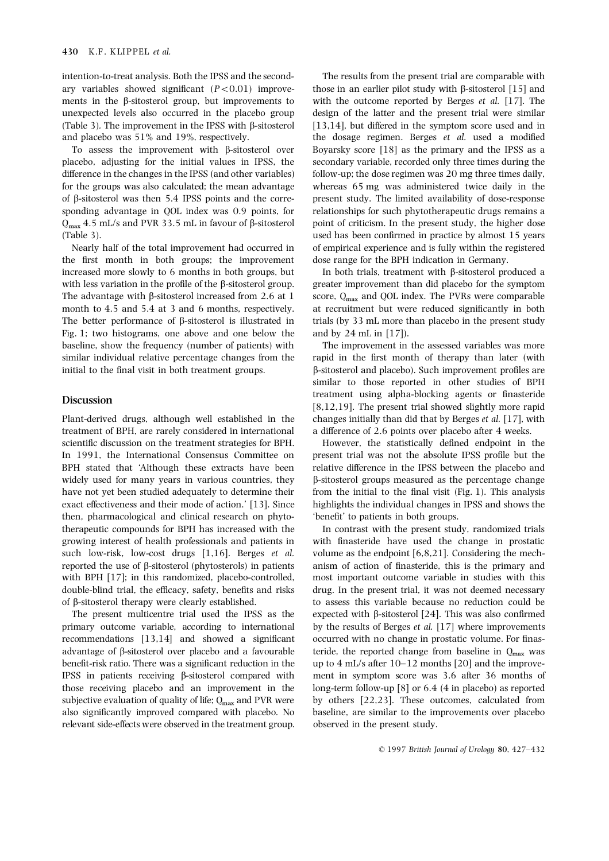ary variables showed significant  $(P<0.01)$  improve- those in an earlier pilot study with  $\beta$ -sitosterol [15] and ments in the  $\beta$ -sitosterol group, but improvements to with the outcome reported by Berges *et al.* [17]. The unexpected levels also occurred in the placebo group design of the latter and the present trial were similar (Table 3). The improvement in the IPSS with  $\beta$ -sitosterol [13,14], but differed in the symptom score used and in and placebo was 51% and 19%, respectively. the dosage regimen. Berges et al. used a modified

placebo, adjusting for the initial values in IPSS, the secondary variable, recorded only three times during the difference in the changes in the IPSS (and other variables) follow-up; the dose regimen was 20 mg three times daily, for the groups was also calculated; the mean advantage whereas 65 mg was administered twice daily in the of  $\beta$ -sitosterol was then 5.4 IPSS points and the corre- present study. The limited availability of dose-response sponding advantage in QOL index was 0.9 points, for relationships for such phytotherapeutic drugs remains a  $Q_{\text{max}}$  4.5 mL/s and PVR 33.5 mL in favour of  $\beta$ -sitosterol point of criticism. In the present study, the higher dose (Table 3).

the first month in both groups; the improvement dose range for the BPH indication in Germany. increased more slowly to 6 months in both groups, but In both trials, treatment with  $\beta$ -sitosterol produced a with less variation in the profile of the  $\beta$ -sitosterol group. greater improvement than did placebo for the symptom The advantage with  $\beta$ -sitosterol increased from 2.6 at 1 score,  $Q_{\text{max}}$  and QOL index. The PVRs were comparable month to 4.5 and 5.4 at 3 and 6 months, respectively. at recruitment but were reduced significantly in bo The better performance of  $\beta$ -sitosterol is illustrated in trials (by 33 mL more than placebo in the present study Fig. 1; two histograms, one above and one below the and by 24 mL in [17]. baseline, show the frequency (number of patients) with The improvement in the assessed variables was more similar individual relative percentage changes from the rapid in the first month of therapy than later (with initial to the final visit in both treatment groups.  $\beta$ -sitosterol and placebo). Such improvement profiles are

treatment of BPH, are rarely considered in international a difference of 2.6 points over placebo after 4 weeks. scientific discussion on the treatment strategies for BPH. However, the statistically defined endpoint in the In 1991, the International Consensus Committee on present trial was not the absolute IPSS profile but the BPH stated that 'Although these extracts have been relative difference in the IPSS between the placebo and widely used for many years in various countries, they  $\beta$ -sitosterol groups measured as the percentage change have not yet been studied adequately to determine their from the initial to the final visit (Fig. 1). This analysis exact effectiveness and their mode of action.' [13]. Since highlights the individual changes in IPSS and shows the then, pharmacological and clinical research on phyto- 'benefit' to patients in both groups. therapeutic compounds for BPH has increased with the In contrast with the present study, randomized trials growing interest of health professionals and patients in with finasteride have used the change in prostatic such low-risk, low-cost drugs [1,16]. Berges *et al.* volume as the endpoint  $[6,8,21]$ . Considering the mechreported the use of b-sitosterol (phytosterols) in patients anism of action of finasteride, this is the primary and with BPH [17]; in this randomized, placebo-controlled, most important outcome variable in studies with this double-blind trial, the efficacy, safety, benefits and risks drug. In the present trial, it was not deemed necessary of b-sitosterol therapy were clearly established. to assess this variable because no reduction could be

primary outcome variable, according to international by the results of Berges et al. [17] where improvements recommendations [13,14] and showed a significant occurred with no change in prostatic volume. For finasadvantage of  $\beta$ -sitosterol over placebo and a favourable teride, the reported change from baseline in  $Q_{\text{max}}$  was benefit-risk ratio. There was a significant reduction in the up to 4 mL/s after 10–12 months [20] and t IPSS in patients receiving  $\beta$ -sitosterol compared with ment in symptom score was 3.6 after 36 months of those receiving placebo and an improvement in the long-term follow-up [8] or 6.4 (4 in placebo) as reported subjective evaluation of quality of life;  $Q_{\text{max}}$  and PVR were by others [22,23]. These outcomes, calculated from also significantly improved compared with placebo. No baseline, are similar to the improvements over plac relevant side-effects were observed in the treatment group. observed in the present study.

intention-to-treat analysis. Both the IPSS and the second- The results from the present trial are comparable with To assess the improvement with  $\beta$ -sitosterol over Boyarsky score [18] as the primary and the IPSS as a used has been confirmed in practice by almost 15 years Nearly half of the total improvement had occurred in of empirical experience and is fully within the registered

at recruitment but were reduced significantly in both

similar to those reported in other studies of BPH **Discussion**<br>The present using alpha-blocking agents or finasteride [8,12,19]. The present trial showed slightly more rapid Plant-derived drugs, although well established in the changes initially than did that by Berges et al. [17], with

The present multicentre trial used the IPSS as the expected with B-sitosterol [24]. This was also confirmed up to  $4$  mL/s after  $10-12$  months [20] and the improvebaseline, are similar to the improvements over placebo.

© 1997 British Journal of Urology 80, 427–432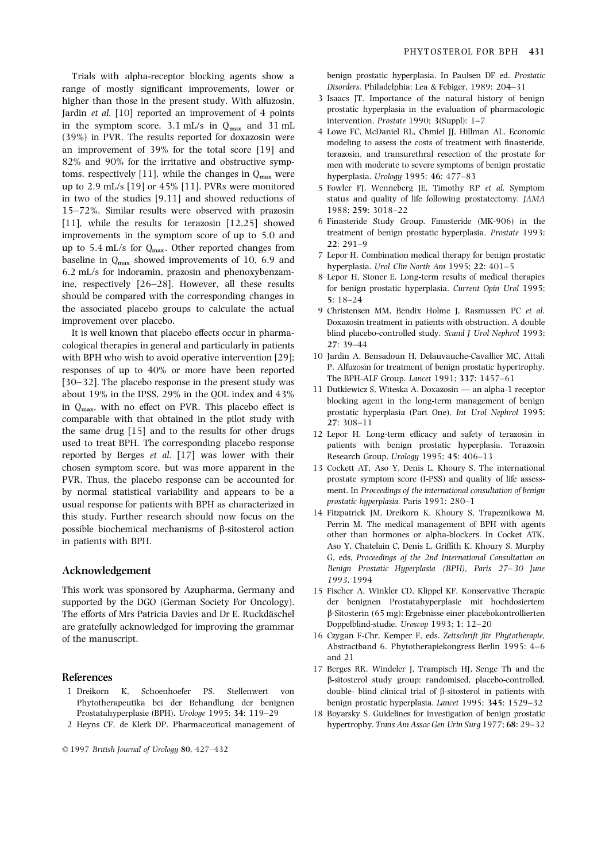range of mostly significant improvements, lower or Disorders. Philadelphia: Lea & Febiger, 1989: 204–31<br>higher than those in the present study With alfugosin 3 Isaacs JT. Importance of the natural history of benign 1 Islam higher than those in the present study. With alfuzosin,<br>
<sup>3</sup> Isaacs JT. Importance of the natural history of benign prostatic hyperplasia in the evaluation of pharmacologic  $(39\%) \text{ in the symptom score, } 3.1 \text{ mL/s in } Q_{\text{max}} \text{ and } 31 \text{ mL}$   $(39\%) \text{ in PVR. The results reported for doxazosin were an improvement of } 39\% \text{ for the iterative and obstructive symplectic hyperplasia in the evaluation of pharmacologic intervention. *Prostate* 1990; 3(Suppl): 1–7  
\n4 Lower from the cost of treatment with financial time, the cost of treatment with financial time. *W* is the evaluation of pharmacologic intervention. *Prostate* 1990; 3(Suppl): 1–7  
\n50000000000000000000000000000$ toms, respectively [11], while the changes in  $Q_{\text{max}}$  were hyperplasia. Urology 1995; 46: 477–83<br>up to 2.9 mL/s [19] or 45% [11]. PVRs were monitored 5 Fowler FL Wenneberg IE. Timothy RI in two of the studies [9,11] and showed reductions of status and quality of life following prostatectomy. JAMA 15–72%. Similar results were observed with prazosin 1988; 259: 3018–22 [11], while the results for terazosin [12,25] showed b Finasteride Study Group. Finasteride (MK-906) in the improvements in the symptom scene of up to 5.0 and treatment of benign prostatic hyperplasia. Prostate 1993: improvements in the symptom score of up to 5.0 and treatment  $\frac{1}{22}$ ,  $\frac{291-9}{2}$ up to 5.4 mL/s for  $Q_{\text{max}}$ . Other reported changes from<br>baseline in  $Q_{\text{max}}$  showed improvements of 10, 6.9 and<br>6.2 mL/s for indoramin, prazosin and phenoxybenzam-<br>ine, respectively [26–28]. However, all these results<br> should be compared with the corresponding changes in  $\frac{5:18-24}{\sqrt{25}}$  for benign prostatic hyperplasia. Current Opin Urol 1995; the associated placebo groups to calculate the actual 9 Christensen MM, Bendix Holme J, Rasmussen PC et al. improvement over placebo. Doxazosin treatment in patients with obstruction. A double

cological therapies in general and particularly in patients 27: 39–44 with BPH who wish to avoid operative intervention [29]; 10 Jardin A, Bensadoun H, Delauvauche-Cavallier MC, Attali<br>P. Alfuzosin for treatment of benign prostatic hypertrophy. responses of up to 40% or more have been reported<br>F30, 321 The placebo response in the present study was The BPH-ALF Group. Lancet 1991; 337: 1457–61 [30–32]. The placebo response in the present study was The BPH-ALF Group. Lancet 1991; 337: 1457–61<br>about 19% in the IPSS, 29% in the QOL index and 43% 11 Dutkiewicz S, Witeska A. Doxazosin — an alpha-1 receptor<br>in  $Q_{\text{$ the same drug [15] and to the results for other drugs 12 Lepor H. Long-term efficacy and safety of terazosin in used to treat BPH. The corresponding placebo response patients with benign prostatic hyperplasia. Terazosin reported by Berges *et al.* [17] was lower with their Research Group. Urology 1995; 45: 406–13 chosen symptom score, but was more apparent in the 13 Cockett AT, Aso Y, Denis L, Khoury S. The international PVR. Thus, the placebo response can be accounted for prostate symptom score (I-PSS) and quality of life assessby normal statistical variability and appears to be a ment. In Proceedings of the international consultation of benign<br>prostatic hyperplasia. Paris 1991: 280-1 usual response for patients with BPH as characterized in *prostatic hyperplasia*. Paris 1991: 280–1<br>this study, Eurther research should now focus on the  $14$  Fitzpatrick JM, Dreikorn K, Khoury S, Trapeznikowa M,

This work was sponsored by Azupharma, Germany and 15 Fischer A, Winkler CD, Klippel KF. Konservative Therapie supported by the DGO (German Society For Oncology). der benignen Prostatahyperplasie mit hochdosiertem The efforts of Mrs Patricia Davies and Dr E. Ruckdäschel  $\beta$ -Sitosterin (65 mg): Ergebnisse einer placebokontrollierten are gratefully acknowledged for improving the grammar  $\qquad$  Doppelblind-studie. Uroscop 1993; 1: 12–20

- Prostatahyperplasie (BPH). Urologe 1995; 34: 119–29 18 Boyarsky S. Guidelines for investigation of benign prostatic
- 

© 1997 British Journal of Urology 80, 427–432

Trials with alpha-receptor blocking agents show a benign prostatic hyperplasia. In Paulsen DF ed. Prostatic

- 
- 
- 5 Fowler FJ, Wenneberg JE, Timothy RP et al. Symptom
- 
- 
- 
- It is well known that placebo effects occur in pharma-<br>
blind placebo-controlled study. Scand J Urol Nephrol 1993;
	-
	-
	-
	-
- this study. Further research should now focus on the<br>possible biochemical mechanisms of  $\beta$ -sitosterol action<br>in patients with BPH.<br>Aso Y, Chatelain C, Denis L, Griffith K. Khoury S, Murphy G, eds, Proceedings of the 2nd International Consultation on Acknowledgement Benign Prostatic Hyperplasia (BPH), Paris 27-30 June 1993, 1994
	-
- 16 Czygan F-Chr, Kemper F, eds. Zeitschrift für Phytotherapie, of the manuscript.  $\frac{16}{2}$  Abstractband 6. Phytotherapiekongress Berlin 1995: 4–6 and 21
- 17 Berges RR, Windeler J, Trampisch HJ, Senge Th and the References **b-sitosterol study group: randomised, placebo-controlled,** 1 Dreikorn K, Schoenhoefer PS. Stellenwert von double- blind clinical trial of b-sitosterol in patients with Phytotherapeutika bei der Behandlung der benignen benign prostatic hyperplasia. Lancet 1995; 345: 1529–32
- 2 Heyns CF, de Klerk DP. Pharmaceutical management of hypertrophy. Trans Am Assoc Gen Urin Surg 1977; 68: 29–32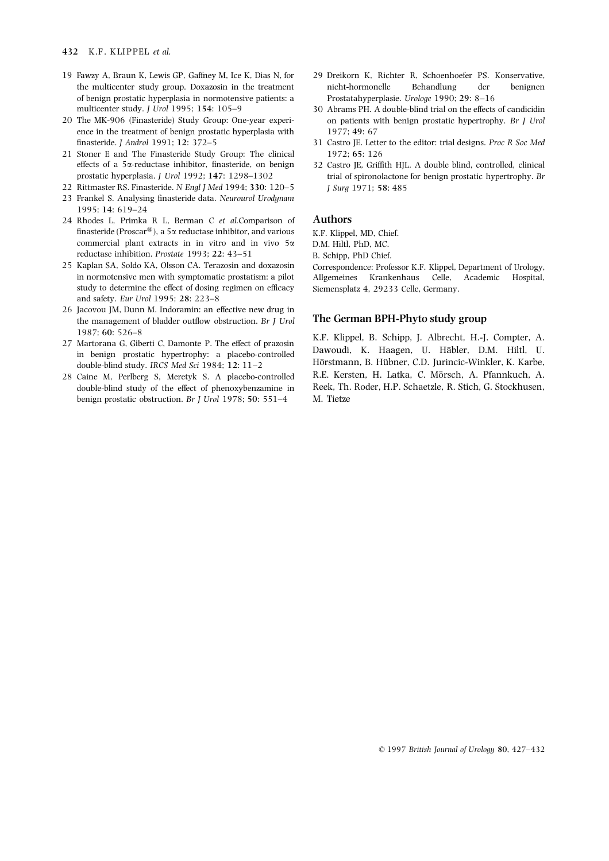- of benign prostatic hyperplasia in normotensive patients: a Prostatahyperplasie. Urologe 1990; 29: 8–16 multicenter study. *J Urol* 1995; 154: 105–9 30 Abrams PH. A double-blind trial on the effects of candicidin
- ence in the treatment of benign prostatic hyperplasia with 1977; 49: 67 finasteride. J Androl 1991; 12: 372–5 31 Castro JE. Letter to the editor: trial designs. Proc R Soc Med
- 21 Stoner E and The Finasteride Study Group: The clinical 1972; 65: 126 effects of a 5x-reductase inhibitor, finasteride, on benign 32 Castro JE, Griffith HJL. A double blind, controlled, clinical
- 22 Rittmaster RS. Finasteride. N Engl J Med 1994; 330: 120-5 J Surg 1971; 58: 485
- 23 Frankel S. Analysing finasteride data. Neurourol Urodynam 1995; 14: 619–24
- 24 Rhodes L, Primka R L, Berman C et al. Comparison of Authors finasteride (Proscar<sup>®</sup>), a 5 $\alpha$  reductase inhibitor, and various K.F. Klippel, MD, Chief. commercial plant extracts in in vitro and in vivo  $5\alpha$  D.M. Hiltl, PhD, MC. reductase inhibition. Prostate 1993; 22: 43-51 B. Schipp. PhD Chief.
- 25 Kaplan SA, Soldo KA, Olsson CA. Terazosin and doxazosin Correspondence: Professor K.F. Klippel, Department of Urology, study to determine the effect of dosing regimen on efficacy Siemensplatz 4, 29233 Celle, Germany. and safety. Eur Urol 1995; 28: 223–8
- 26 Jacovou JM, Dunn M. Indoramin: an effective new drug in the management of bladder outflow obstruction. Br *I Urol* The German BPH-Phyto study group
- 
- benign prostatic obstruction. Br J Urol 1978; 50: 551-4 M. Tietze
- 19 Fawzy A, Braun K, Lewis GP, Gaffney M, Ice K, Dias N, for 29 Dreikorn K, Richter R, Schoenhoefer PS. Konservative, the multicenter study group. Doxazosin in the treatment nicht-hormonelle Behandlung der benignen
- 20 The MK-906 (Finasteride) Study Group: One-year experi- on patients with benign prostatic hypertrophy. Br J Urol
	-
	- prostatic hyperplasia. J Urol 1992; 147: 1298–1302 trial of spironolactone for benign prostatic hypertrophy. Br

in normotensive men with symptomatic prostatism: a pilot Allgemeines Krankenhaus Celle, Academic Hospital,

1987; 60: 526–8<br>27 Martorana G, Giberti C, Damonte P. The effect of prazosin<br>27 Martorana G, Giberti C, Damonte P. The effect of prazosin<br>27 Martorana G, Giberti C, Damonte P. The effect of prazosin<br>28 M.F. Klippel, B. Sch Hörstmann, B. Hübner, C.D. Jurincic-Winkler, K. Karbe, double-blind study. IRCS Med Sci 1984; 12: 11–2 Hörstmann, B. Hübner, C.D. Jurincic-Winkler, K. Karbe, 28 Caine M, Perlberg S, Meretyk S. A placebo-controlled R.E. Kersten, H. Latka, C. Mörsch, A. Pfannkuch, A. double-blind study of the effect of phenoxybenzamine in Reek, Th. Roder, H.P. Schaetzle, R. Stich, G. Stockhusen,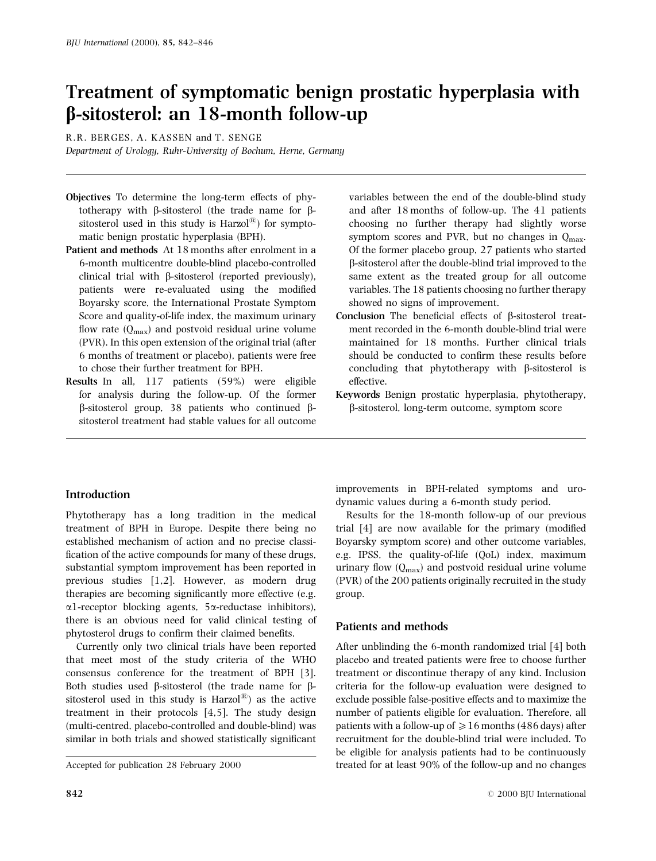# Treatment of symptomatic benign prostatic hyperplasia with b-sitosterol: an 18-month follow-up

R.R. BERGES, A. KASSEN and T. SENGE

Department of Urology, Ruhr-University of Bochum, Herne, Germany

- Objectives To determine the long-term effects of phytotherapy with  $\beta$ -sitosterol (the trade name for  $\beta$ sitosterol used in this study is  $\text{Harzol}^{(8)}$  for symptomatic benign prostatic hyperplasia (BPH).
- Patient and methods At 18 months after enrolment in a 6-month multicentre double-blind placebo-controlled clinical trial with  $\beta$ -sitosterol (reported previously), patients were re-evaluated using the modified Boyarsky score, the International Prostate Symptom Score and quality-of-life index, the maximum urinary flow rate  $(Q_{\text{max}})$  and postvoid residual urine volume (PVR). In this open extension of the original trial (after 6 months of treatment or placebo), patients were free to chose their further treatment for BPH.
- Results In all, 117 patients (59%) were eligible for analysis during the follow-up. Of the former  $\beta$ -sitosterol group, 38 patients who continued  $\beta$ sitosterol treatment had stable values for all outcome

# variables between the end of the double-blind study and after 18 months of follow-up. The 41 patients choosing no further therapy had slightly worse symptom scores and PVR, but no changes in  $Q_{\text{max}}$ . Of the former placebo group, 27 patients who started b-sitosterol after the double-blind trial improved to the same extent as the treated group for all outcome variables. The 18 patients choosing no further therapy showed no signs of improvement.

- Conclusion The beneficial effects of  $\beta$ -sitosterol treatment recorded in the 6-month double-blind trial were maintained for 18 months. Further clinical trials should be conducted to confirm these results before concluding that phytotherapy with  $\beta$ -sitosterol is effective.
- Keywords Benign prostatic hyperplasia, phytotherapy, b-sitosterol, long-term outcome, symptom score

# Introduction

Phytotherapy has a long tradition in the medical treatment of BPH in Europe. Despite there being no established mechanism of action and no precise classi fication of the active compounds for many of these drugs, substantial symptom improvement has been reported in previous studies [1,2]. However, as modern drug therapies are becoming significantly more effective (e.g.  $\alpha$ 1-receptor blocking agents, 5 $\alpha$ -reductase inhibitors), there is an obvious need for valid clinical testing of phytosterol drugs to confirm their claimed benefits.

Currently only two clinical trials have been reported that meet most of the study criteria of the WHO consensus conference for the treatment of BPH [3]. Both studies used  $\beta$ -sitosterol (the trade name for  $\beta$ sitosterol used in this study is  $Harzol^{(B)}$  as the active treatment in their protocols [4,5]. The study design (multi-centred, placebo-controlled and double-blind) was similar in both trials and showed statistically significant improvements in BPH-related symptoms and urodynamic values during a 6-month study period.

Results for the 18-month follow-up of our previous trial  $[4]$  are now available for the primary (modified Boyarsky symptom score) and other outcome variables, e.g. IPSS, the quality-of-life (QoL) index, maximum urinary flow  $(Q<sub>max</sub>)$  and postvoid residual urine volume (PVR) of the 200 patients originally recruited in the study group.

# Patients and methods

After unblinding the 6-month randomized trial [4] both placebo and treated patients were free to choose further treatment or discontinue therapy of any kind. Inclusion criteria for the follow-up evaluation were designed to exclude possible false-positive effects and to maximize the number of patients eligible for evaluation. Therefore, all patients with a follow-up of  $\geq 16$  months (486 days) after recruitment for the double-blind trial were included. To be eligible for analysis patients had to be continuously Accepted for publication 28 February 2000 treated for at least 90% of the follow-up and no changes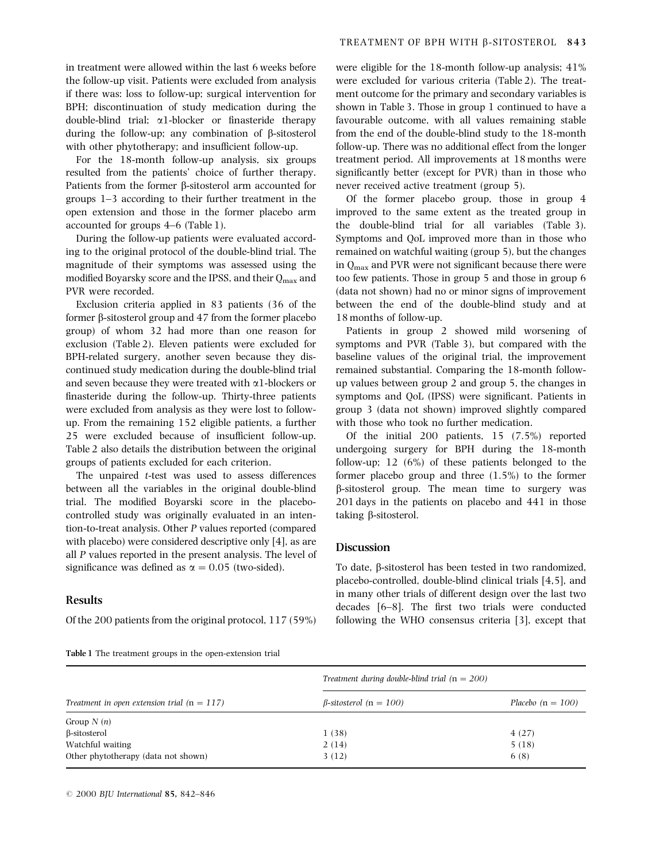in treatment were allowed within the last 6 weeks before the follow-up visit. Patients were excluded from analysis if there was: loss to follow-up; surgical intervention for BPH; discontinuation of study medication during the double-blind trial;  $\alpha$ 1-blocker or finasteride therapy during the follow-up; any combination of  $\beta$ -sitosterol with other phytotherapy; and insufficient follow-up.

For the 18-month follow-up analysis, six groups resulted from the patients' choice of further therapy. Patients from the former  $\beta$ -sitosterol arm accounted for groups 1±3 according to their further treatment in the open extension and those in the former placebo arm accounted for groups  $4-6$  (Table 1).

During the follow-up patients were evaluated according to the original protocol of the double-blind trial. The magnitude of their symptoms was assessed using the modified Boyarsky score and the IPSS, and their  $Q_{\text{max}}$  and PVR were recorded.

Exclusion criteria applied in 83 patients (36 of the former  $\beta$ -sitosterol group and 47 from the former placebo group) of whom 32 had more than one reason for exclusion (Table 2). Eleven patients were excluded for BPH-related surgery, another seven because they discontinued study medication during the double-blind trial and seven because they were treated with  $\alpha$ 1-blockers or finasteride during the follow-up. Thirty-three patients were excluded from analysis as they were lost to followup. From the remaining 152 eligible patients, a further 25 were excluded because of insufficient follow-up. Table 2 also details the distribution between the original groups of patients excluded for each criterion.

The unpaired t-test was used to assess differences between all the variables in the original double-blind trial. The modified Boyarski score in the placebocontrolled study was originally evaluated in an intention-to-treat analysis. Other P values reported (compared with placebo) were considered descriptive only [4], as are all P values reported in the present analysis. The level of significance was defined as  $\alpha = 0.05$  (two-sided).

### Results

Of the 200 patients from the original protocol, 117 (59%)

Table 1 The treatment groups in the open-extension trial

were eligible for the 18-month follow-up analysis; 41% were excluded for various criteria (Table 2). The treatment outcome for the primary and secondary variables is shown in Table 3. Those in group 1 continued to have a favourable outcome, with all values remaining stable from the end of the double-blind study to the 18-month follow-up. There was no additional effect from the longer treatment period. All improvements at 18 months were significantly better (except for PVR) than in those who never received active treatment (group 5).

Of the former placebo group, those in group 4 improved to the same extent as the treated group in the double-blind trial for all variables (Table 3). Symptoms and QoL improved more than in those who remained on watchful waiting (group 5), but the changes in  $Q_{\text{max}}$  and PVR were not significant because there were too few patients. Those in group 5 and those in group 6 (data not shown) had no or minor signs of improvement between the end of the double-blind study and at 18 months of follow-up.

Patients in group 2 showed mild worsening of symptoms and PVR (Table 3), but compared with the baseline values of the original trial, the improvement remained substantial. Comparing the 18-month followup values between group 2 and group 5, the changes in symptoms and QoL (IPSS) were significant. Patients in group 3 (data not shown) improved slightly compared with those who took no further medication.

Of the initial 200 patients, 15 (7.5%) reported undergoing surgery for BPH during the 18-month follow-up; 12 (6%) of these patients belonged to the former placebo group and three (1.5%) to the former b-sitosterol group. The mean time to surgery was 201 days in the patients on placebo and 441 in those taking  $\beta$ -sitosterol.

### **Discussion**

To date, b-sitosterol has been tested in two randomized, placebo-controlled, double-blind clinical trials [4,5], and in many other trials of different design over the last two decades  $[6-8]$ . The first two trials were conducted following the WHO consensus criteria [3], except that

|                                               | Treatment during double-blind trial $(n = 200)$ |                     |
|-----------------------------------------------|-------------------------------------------------|---------------------|
| Treatment in open extension trial $(n = 117)$ | $\beta$ -sitosterol (n = 100)                   | Placebo $(n = 100)$ |
| Group $N(n)$                                  |                                                 |                     |
| $\beta$ -sitosterol                           | 1(38)                                           | 4(27)               |
| Watchful waiting                              | 2(14)                                           | 5(18)               |
| Other phytotherapy (data not shown)           | 3(12)                                           | 6(8)                |

© 2000 BJU International 85, 842-846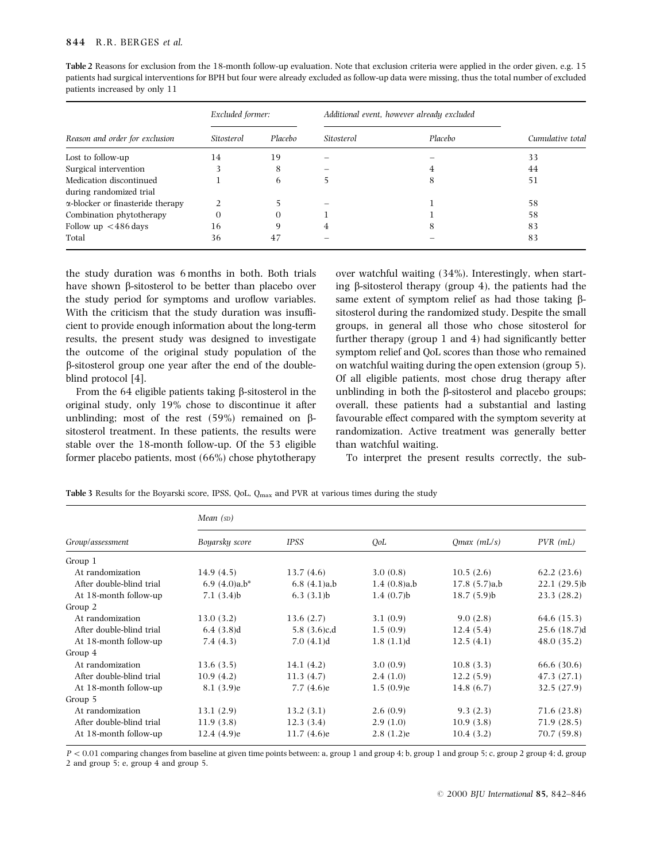### 844 R.R. BERGES et al.

| Table 2 Reasons for exclusion from the 18-month follow-up evaluation. Note that exclusion criteria were applied in the order given, e.g. 15  |
|----------------------------------------------------------------------------------------------------------------------------------------------|
| patients had surgical interventions for BPH but four were already excluded as follow-up data were missing, thus the total number of excluded |
| patients increased by only 11                                                                                                                |

|                                          | Excluded former: | Additional event, however already excluded |            |         |                  |  |
|------------------------------------------|------------------|--------------------------------------------|------------|---------|------------------|--|
| Reason and order for exclusion           | Sitosterol       | Placebo                                    | Sitosterol | Placebo | Cumulative total |  |
| Lost to follow-up                        | 14               | 19                                         |            |         | 33               |  |
| Surgical intervention                    |                  | 8                                          |            | 4       | 44               |  |
| Medication discontinued                  |                  | 6                                          |            | 8       | 51               |  |
| during randomized trial                  |                  |                                            |            |         |                  |  |
| $\alpha$ -blocker or finasteride therapy |                  |                                            |            |         | 58               |  |
| Combination phytotherapy                 | 0                | $\Omega$                                   |            |         | 58               |  |
| Follow up $\lt$ 486 days                 | 16               | Q                                          | 4          | 8       | 83               |  |
| Total                                    | 36               | 47                                         |            |         | 83               |  |

the study duration was 6 months in both. Both trials have shown  $\beta$ -sitosterol to be better than placebo over the study period for symptoms and uroflow variables. With the criticism that the study duration was insufficient to provide enough information about the long-term results, the present study was designed to investigate the outcome of the original study population of the b-sitosterol group one year after the end of the doubleblind protocol [4].

From the 64 eligible patients taking  $\beta$ -sitosterol in the original study, only 19% chose to discontinue it after unblinding; most of the rest  $(59\%)$  remained on  $\beta$ sitosterol treatment. In these patients, the results were stable over the 18-month follow-up. Of the 53 eligible former placebo patients, most (66%) chose phytotherapy over watchful waiting (34%). Interestingly, when starting  $\beta$ -sitosterol therapy (group 4), the patients had the same extent of symptom relief as had those taking  $\beta$ sitosterol during the randomized study. Despite the small groups, in general all those who chose sitosterol for further therapy (group  $1$  and  $4$ ) had significantly better symptom relief and QoL scores than those who remained on watchful waiting during the open extension (group 5). Of all eligible patients, most chose drug therapy after unblinding in both the  $\beta$ -sitosterol and placebo groups; overall, these patients had a substantial and lasting favourable effect compared with the symptom severity at randomization. Active treatment was generally better than watchful waiting.

To interpret the present results correctly, the sub-

|                          | Mean $(s_D)$     |                |             |               |             |  |  |  |
|--------------------------|------------------|----------------|-------------|---------------|-------------|--|--|--|
| Group/assessment         | Boyarsky score   | IPSS           | QoL         | $Qmax$ (mL/s) | $PVR$ (mL)  |  |  |  |
| Group 1                  |                  |                |             |               |             |  |  |  |
| At randomization         | 14.9(4.5)        | 13.7(4.6)      | 3.0(0.8)    | 10.5(2.6)     | 62.2(23.6)  |  |  |  |
| After double-blind trial | 6.9 $(4.0)a,b^*$ | 6.8(4.1)a,b    | 1.4(0.8)a,b | 17.8(5.7)a,b  | 22.1(29.5)b |  |  |  |
| At 18-month follow-up    | 7.1(3.4)b        | 6.3(3.1)b      | 1.4(0.7)    | 18.7(5.9)b    | 23.3(28.2)  |  |  |  |
| Group 2                  |                  |                |             |               |             |  |  |  |
| At randomization         | 13.0(3.2)        | 13.6(2.7)      | 3.1(0.9)    | 9.0(2.8)      | 64.6 (15.3) |  |  |  |
| After double-blind trial | 6.4(3.8)d        | 5.8 $(3.6)c,d$ | 1.5(0.9)    | 12.4(5.4)     | 25.6(18.7)d |  |  |  |
| At 18-month follow-up    | 7.4(4.3)         | 7.0(4.1)d      | 1.8(1.1)d   | 12.5(4.1)     | 48.0(35.2)  |  |  |  |
| Group 4                  |                  |                |             |               |             |  |  |  |
| At randomization         | 13.6(3.5)        | 14.1 $(4.2)$   | 3.0(0.9)    | 10.8(3.3)     | 66.6 (30.6) |  |  |  |
| After double-blind trial | 10.9(4.2)        | 11.3(4.7)      | 2.4(1.0)    | 12.2(5.9)     | 47.3 (27.1) |  |  |  |
| At 18-month follow-up    | 8.1(3.9)e        | 7.7(4.6)e      | 1.5(0.9)e   | 14.8(6.7)     | 32.5(27.9)  |  |  |  |
| Group 5                  |                  |                |             |               |             |  |  |  |
| At randomization         | 13.1(2.9)        | 13.2(3.1)      | 2.6(0.9)    | 9.3(2.3)      | 71.6 (23.8) |  |  |  |
| After double-blind trial | 11.9(3.8)        | 12.3(3.4)      | 2.9(1.0)    | 10.9(3.8)     | 71.9 (28.5) |  |  |  |
| At 18-month follow-up    | 12.4(4.9)e       | 11.7(4.6)e     | 2.8(1.2)e   | 10.4(3.2)     | 70.7 (59.8) |  |  |  |

Table 3 Results for the Boyarski score, IPSS, QoL,  $Q_{\text{max}}$  and PVR at various times during the study

 $P < 0.01$  comparing changes from baseline at given time points between: a, group 1 and group 4; b, group 1 and group 5; c, group 2 group 4; d, group 2 and group 5; e, group 4 and group 5.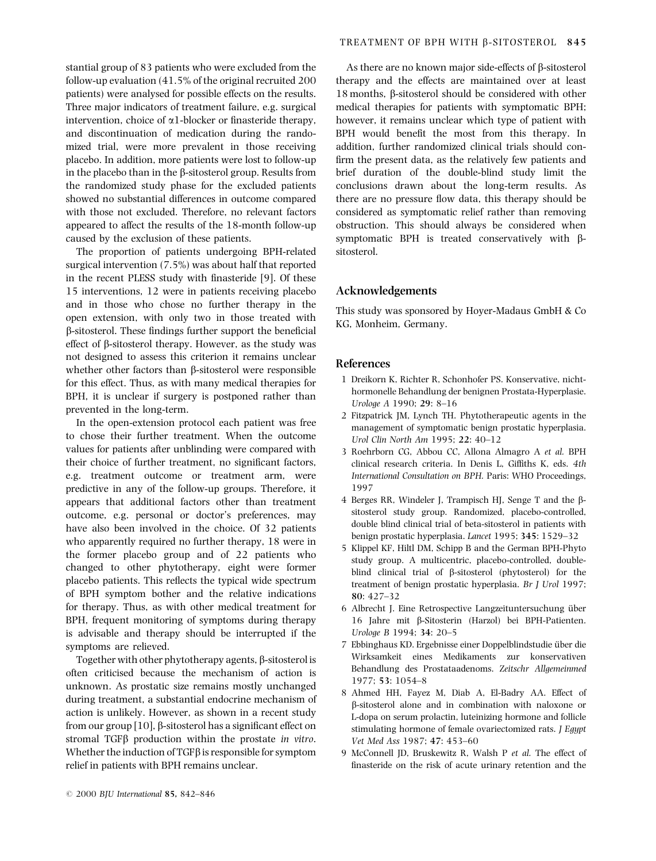stantial group of 83 patients who were excluded from the follow-up evaluation (41.5% of the original recruited 200 patients) were analysed for possible effects on the results. Three major indicators of treatment failure, e.g. surgical intervention, choice of  $\alpha$ 1-blocker or finasteride therapy, and discontinuation of medication during the randomized trial, were more prevalent in those receiving placebo. In addition, more patients were lost to follow-up in the placebo than in the  $\beta$ -sitosterol group. Results from the randomized study phase for the excluded patients showed no substantial differences in outcome compared with those not excluded. Therefore, no relevant factors appeared to affect the results of the 18-month follow-up caused by the exclusion of these patients.

The proportion of patients undergoing BPH-related surgical intervention (7.5%) was about half that reported in the recent PLESS study with finasteride [9]. Of these 15 interventions, 12 were in patients receiving placebo and in those who chose no further therapy in the open extension, with only two in those treated with  $\beta$ -sitosterol. These findings further support the beneficial effect of b-sitosterol therapy. However, as the study was not designed to assess this criterion it remains unclear whether other factors than  $\beta$ -sitosterol were responsible for this effect. Thus, as with many medical therapies for BPH, it is unclear if surgery is postponed rather than prevented in the long-term.

In the open-extension protocol each patient was free to chose their further treatment. When the outcome values for patients after unblinding were compared with their choice of further treatment, no significant factors, e.g. treatment outcome or treatment arm, were predictive in any of the follow-up groups. Therefore, it appears that additional factors other than treatment outcome, e.g. personal or doctor's preferences, may have also been involved in the choice. Of 32 patients who apparently required no further therapy, 18 were in the former placebo group and of 22 patients who changed to other phytotherapy, eight were former placebo patients. This reflects the typical wide spectrum of BPH symptom bother and the relative indications for therapy. Thus, as with other medical treatment for BPH, frequent monitoring of symptoms during therapy is advisable and therapy should be interrupted if the symptoms are relieved.

Together with other phytotherapy agents,  $\beta$ -sitosterol is often criticised because the mechanism of action is unknown. As prostatic size remains mostly unchanged during treatment, a substantial endocrine mechanism of action is unlikely. However, as shown in a recent study from our group  $[10]$ ,  $\beta$ -sitosterol has a significant effect on stromal TGF $\beta$  production within the prostate in vitro. Whether the induction of TGF $\beta$  is responsible for symptom relief in patients with BPH remains unclear.

As there are no known major side-effects of  $\beta$ -sitosterol therapy and the effects are maintained over at least 18 months, b-sitosterol should be considered with other medical therapies for patients with symptomatic BPH; however, it remains unclear which type of patient with BPH would benefit the most from this therapy. In addition, further randomized clinical trials should con firm the present data, as the relatively few patients and brief duration of the double-blind study limit the conclusions drawn about the long-term results. As there are no pressure flow data, this therapy should be considered as symptomatic relief rather than removing obstruction. This should always be considered when symptomatic BPH is treated conservatively with  $\beta$ sitosterol.

# Acknowledgements

This study was sponsored by Hoyer-Madaus GmbH & Co KG, Monheim, Germany.

### References

- 1 Dreikorn K, Richter R, Schonhofer PS. Konservative, nichthormonelle Behandlung der benignen Prostata-Hyperplasie. Urologe A 1990; 29: 8-16
- 2 Fitzpatrick JM, Lynch TH. Phytotherapeutic agents in the management of symptomatic benign prostatic hyperplasia. Urol Clin North Am 1995; 22: 40-12
- 3 Roehrborn CG, Abbou CC, Allona Almagro A et al. BPH clinical research criteria. In Denis L, Giffiths K, eds. 4th International Consultation on BPH. Paris: WHO Proceedings, 1997
- 4 Berges RR, Windeler J, Trampisch HJ, Senge T and the bsitosterol study group. Randomized, placebo-controlled, double blind clinical trial of beta-sitosterol in patients with benign prostatic hyperplasia. Lancet 1995; 345: 1529-32
- 5 Klippel KF, Hiltl DM, Schipp B and the German BPH-Phyto study group. A multicentric, placebo-controlled, doubleblind clinical trial of b-sitosterol (phytosterol) for the treatment of benign prostatic hyperplasia. Br J Urol 1997; 80: 427±32
- 6 Albrecht J. Eine Retrospective Langzeituntersuchung über 16 Jahre mit b-Sitosterin (Harzol) bei BPH-Patienten. Urologe B 1994; 34: 20-5
- 7 Ebbinghaus KD. Ergebnisse einer Doppelblindstudie über die Wirksamkeit eines Medikaments zur konservativen Behandlung des Prostataadenoms. Zeitschr Allgemeinmed 1977; 53: 1054-8
- 8 Ahmed HH, Fayez M, Diab A, El-Badry AA. Effect of b-sitosterol alone and in combination with naloxone or L-dopa on serum prolactin, luteinizing hormone and follicle stimulating hormone of female ovariectomized rats. J Egypt Vet Med Ass 1987; 47: 453-60
- 9 McConnell JD, Bruskewitz R, Walsh P et al. The effect of finasteride on the risk of acute urinary retention and the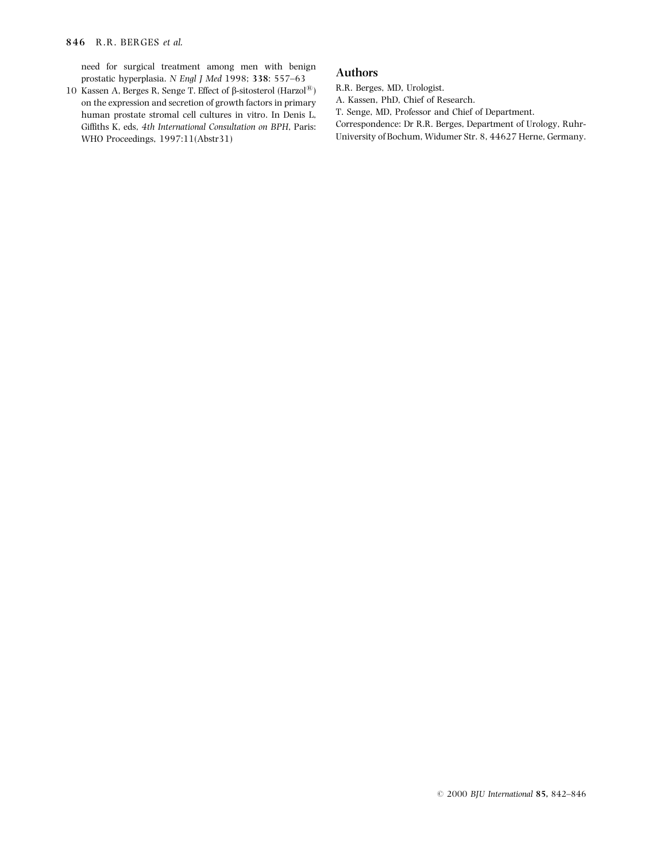need for surgical treatment among men with benign prostatic hyperplasia. N Engl J Med 1998; 338: 557-63

10 Kassen A, Berges R, Senge T. Effect of  $\beta$ -sitosterol (Harzol<sup>®</sup>) on the expression and secretion of growth factors in primary human prostate stromal cell cultures in vitro. In Denis L, Giffiths K, eds, 4th International Consultation on BPH, Paris: WHO Proceedings, 1997:11(Abstr31)

# Authors

R.R. Berges, MD, Urologist.

A. Kassen, PhD, Chief of Research.

T. Senge, MD, Professor and Chief of Department.

Correspondence: Dr R.R. Berges, Department of Urology, Ruhr-University of Bochum, Widumer Str. 8, 44627 Herne, Germany.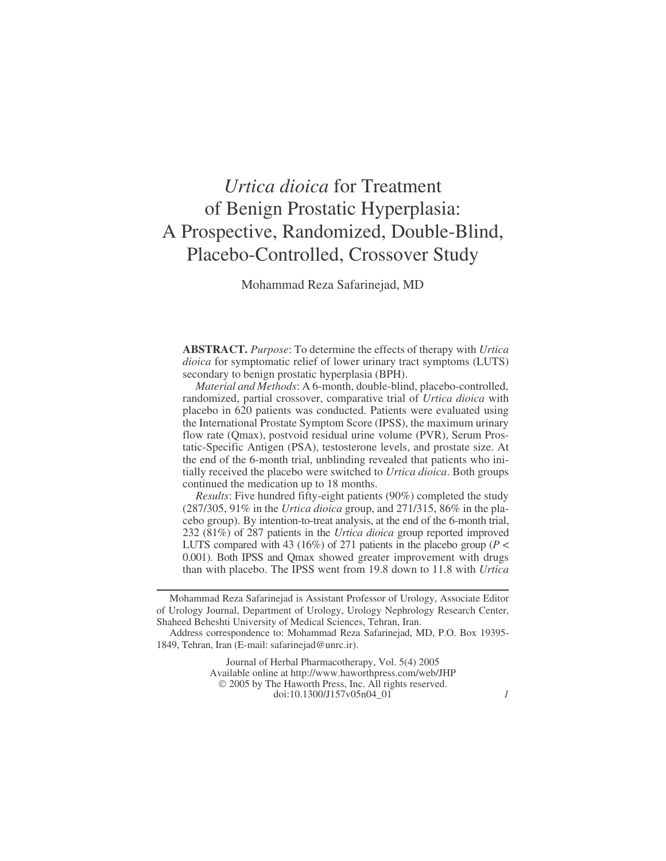# *Urtica dioica* for Treatment of Benign Prostatic Hyperplasia: A Prospective, Randomized, Double-Blind, Placebo-Controlled, Crossover Study

Mohammad Reza Safarinejad, MD

**ABSTRACT.** *Purpose*: To determine the effects of therapy with *Urtica dioica* for symptomatic relief of lower urinary tract symptoms (LUTS) secondary to benign prostatic hyperplasia (BPH).

*Material and Methods*: A 6-month, double-blind, placebo-controlled, randomized, partial crossover, comparative trial of *Urtica dioica* with placebo in 620 patients was conducted. Patients were evaluated using the International Prostate Symptom Score (IPSS), the maximum urinary flow rate (Qmax), postvoid residual urine volume (PVR), Serum Prostatic-Specific Antigen (PSA), testosterone levels, and prostate size. At the end of the 6-month trial, unblinding revealed that patients who initially received the placebo were switched to *Urtica dioica*. Both groups continued the medication up to 18 months.

*Results*: Five hundred fifty-eight patients (90%) completed the study (287/305, 91% in the *Urtica dioica* group, and 271/315, 86% in the placebo group). By intention-to-treat analysis, at the end of the 6-month trial, 232 (81%) of 287 patients in the *Urtica dioica* group reported improved LUTS compared with 43 (16%) of 271 patients in the placebo group (*P* < 0.001). Both IPSS and Qmax showed greater improvement with drugs than with placebo. The IPSS went from 19.8 down to 11.8 with *Urtica*

Journal of Herbal Pharmacotherapy, Vol. 5(4) 2005 Available online at<http://www.haworthpress.com/web/JHP> 2005 by The Haworth Press, Inc. All rights reserved. doi:10.1300/J157v05n04\_01 *1*

Mohammad Reza Safarinejad is Assistant Professor of Urology, Associate Editor of Urology Journal, Department of Urology, Urology Nephrology Research Center, Shaheed Beheshti University of Medical Sciences, Tehran, Iran.

Address correspondence to: Mohammad Reza Safarinejad, MD, P.O. Box 19395- 1849, Tehran, Iran (E-mail: safarinejad@unrc.ir).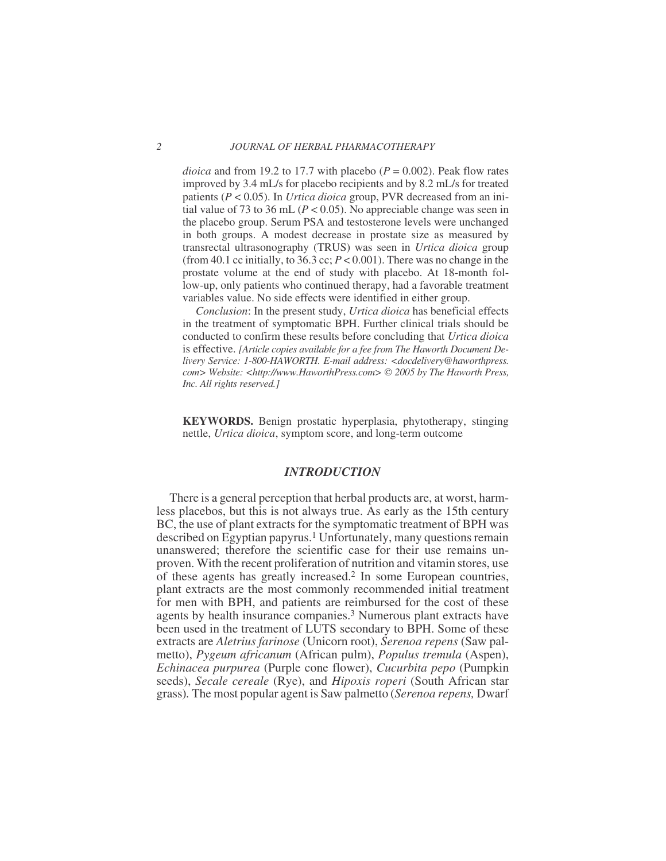*dioica* and from 19.2 to 17.7 with placebo ( $P = 0.002$ ). Peak flow rates improved by 3.4 mL/s for placebo recipients and by 8.2 mL/s for treated patients (*P* < 0.05). In *Urtica dioica* group, PVR decreased from an initial value of 73 to 36 mL ( $P < 0.05$ ). No appreciable change was seen in the placebo group. Serum PSA and testosterone levels were unchanged in both groups. A modest decrease in prostate size as measured by transrectal ultrasonography (TRUS) was seen in *Urtica dioica* group (from 40.1 cc initially, to 36.3 cc;  $P < 0.001$ ). There was no change in the prostate volume at the end of study with placebo. At 18-month follow-up, only patients who continued therapy, had a favorable treatment variables value. No side effects were identified in either group.

*Conclusion*: In the present study, *Urtica dioica* has beneficial effects in the treatment of symptomatic BPH. Further clinical trials should be conducted to confirm these results before concluding that *Urtica dioica* is effective. *[Article copies available for a fee from The Haworth Document Delivery Service: 1-800-HAWORTH. E-mail address: <docdelivery@haworthpress. com> Website: [<http://www.HaworthPress.com>](http://www.HaworthPress.com) 2005 by The Haworth Press, Inc. All rights reserved.]*

**KEYWORDS.** Benign prostatic hyperplasia, phytotherapy, stinging nettle, *Urtica dioica*, symptom score, and long-term outcome

# *INTRODUCTION*

There is a general perception that herbal products are, at worst, harmless placebos, but this is not always true. As early as the 15th century BC, the use of plant extracts for the symptomatic treatment of BPH was described on Egyptian papyrus.<sup>1</sup> Unfortunately, many questions remain unanswered; therefore the scientific case for their use remains unproven. With the recent proliferation of nutrition and vitamin stores, use of these agents has greatly increased.2 In some European countries, plant extracts are the most commonly recommended initial treatment for men with BPH, and patients are reimbursed for the cost of these agents by health insurance companies.3 Numerous plant extracts have been used in the treatment of LUTS secondary to BPH. Some of these extracts are *Aletrius farinose* (Unicorn root), *Serenoa repens* (Saw palmetto), *Pygeum africanum* (African pulm), *Populus tremula* (Aspen), *Echinacea purpurea* (Purple cone flower), *Cucurbita pepo* (Pumpkin seeds), *Secale cereale* (Rye), and *Hipoxis roperi* (South African star grass)*.* The most popular agent is Saw palmetto (*Serenoa repens,* Dwarf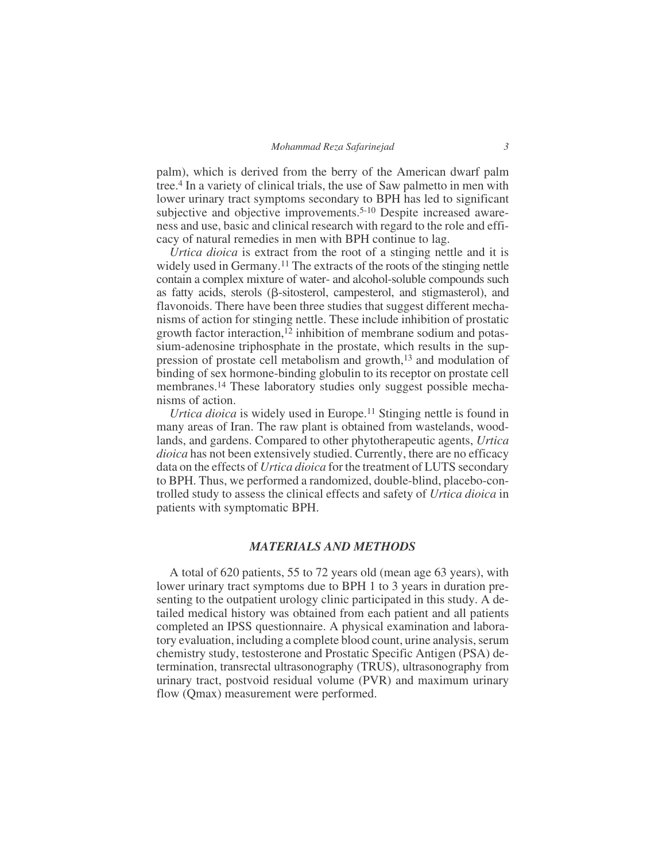palm), which is derived from the berry of the American dwarf palm tree.4 In a variety of clinical trials, the use of Saw palmetto in men with lower urinary tract symptoms secondary to BPH has led to significant subjective and objective improvements.<sup>5-10</sup> Despite increased awareness and use, basic and clinical research with regard to the role and efficacy of natural remedies in men with BPH continue to lag.

*Urtica dioica* is extract from the root of a stinging nettle and it is widely used in Germany.<sup>11</sup> The extracts of the roots of the stinging nettle contain a complex mixture of water- and alcohol-soluble compounds such as fatty acids, sterols ( $\beta$ -sitosterol, campesterol, and stigmasterol), and flavonoids. There have been three studies that suggest different mechanisms of action for stinging nettle. These include inhibition of prostatic growth factor interaction,<sup>12</sup> inhibition of membrane sodium and potassium-adenosine triphosphate in the prostate, which results in the suppression of prostate cell metabolism and growth,13 and modulation of binding of sex hormone-binding globulin to its receptor on prostate cell membranes.14 These laboratory studies only suggest possible mechanisms of action.

*Urtica dioica* is widely used in Europe.<sup>11</sup> Stinging nettle is found in many areas of Iran. The raw plant is obtained from wastelands, woodlands, and gardens. Compared to other phytotherapeutic agents, *Urtica dioica* has not been extensively studied. Currently, there are no efficacy data on the effects of *Urtica dioica* for the treatment of LUTS secondary to BPH. Thus, we performed a randomized, double-blind, placebo-controlled study to assess the clinical effects and safety of *Urtica dioica* in patients with symptomatic BPH.

## *MATERIALS AND METHODS*

A total of 620 patients, 55 to 72 years old (mean age 63 years), with lower urinary tract symptoms due to BPH 1 to 3 years in duration presenting to the outpatient urology clinic participated in this study. A detailed medical history was obtained from each patient and all patients completed an IPSS questionnaire. A physical examination and laboratory evaluation, including a complete blood count, urine analysis, serum chemistry study, testosterone and Prostatic Specific Antigen (PSA) determination, transrectal ultrasonography (TRUS), ultrasonography from urinary tract, postvoid residual volume (PVR) and maximum urinary flow (Qmax) measurement were performed.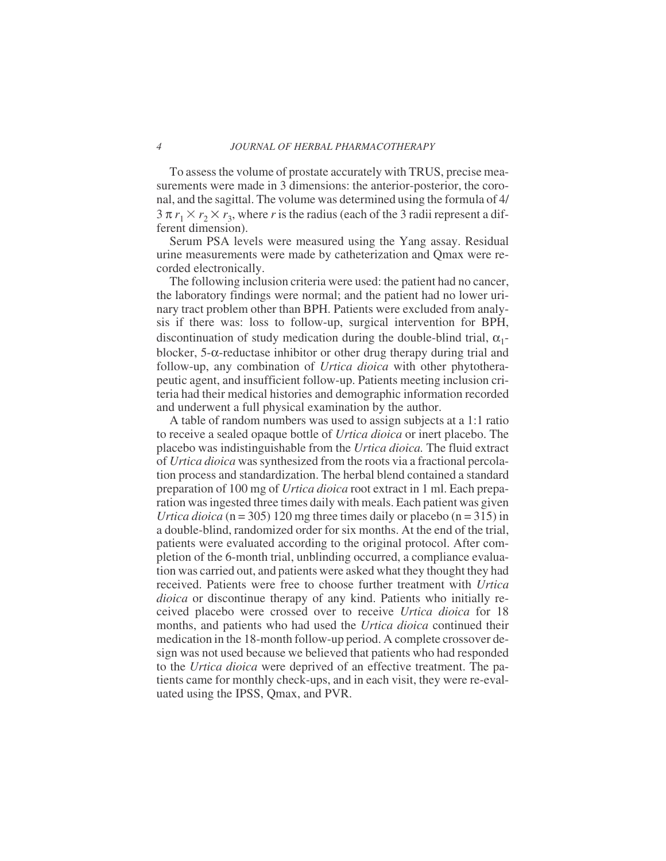### *4 JOURNAL OF HERBAL PHARMACOTHERAPY*

To assess the volume of prostate accurately with TRUS, precise measurements were made in 3 dimensions: the anterior-posterior, the coronal, and the sagittal. The volume was determined using the formula of 4/  $3 \pi r_1 \times r_2 \times r_3$ , where *r* is the radius (each of the 3 radii represent a different dimension).

Serum PSA levels were measured using the Yang assay. Residual urine measurements were made by catheterization and Qmax were recorded electronically.

The following inclusion criteria were used: the patient had no cancer, the laboratory findings were normal; and the patient had no lower urinary tract problem other than BPH. Patients were excluded from analysis if there was: loss to follow-up, surgical intervention for BPH, discontinuation of study medication during the double-blind trial,  $\alpha_1$ blocker, 5-α-reductase inhibitor or other drug therapy during trial and follow-up, any combination of *Urtica dioica* with other phytotherapeutic agent, and insufficient follow-up. Patients meeting inclusion criteria had their medical histories and demographic information recorded and underwent a full physical examination by the author.

A table of random numbers was used to assign subjects at a 1:1 ratio to receive a sealed opaque bottle of *Urtica dioica* or inert placebo. The placebo was indistinguishable from the *Urtica dioica.* The fluid extract of *Urtica dioica* was synthesized from the roots via a fractional percolation process and standardization. The herbal blend contained a standard preparation of 100 mg of *Urtica dioica* root extract in 1 ml. Each preparation was ingested three times daily with meals. Each patient was given *Urtica dioica* ( $n = 305$ ) 120 mg three times daily or placebo ( $n = 315$ ) in a double-blind, randomized order for six months. At the end of the trial, patients were evaluated according to the original protocol. After completion of the 6-month trial, unblinding occurred, a compliance evaluation was carried out, and patients were asked what they thought they had received. Patients were free to choose further treatment with *Urtica dioica* or discontinue therapy of any kind. Patients who initially received placebo were crossed over to receive *Urtica dioica* for 18 months, and patients who had used the *Urtica dioica* continued their medication in the 18-month follow-up period. A complete crossover design was not used because we believed that patients who had responded to the *Urtica dioica* were deprived of an effective treatment. The patients came for monthly check-ups, and in each visit, they were re-evaluated using the IPSS, Qmax, and PVR.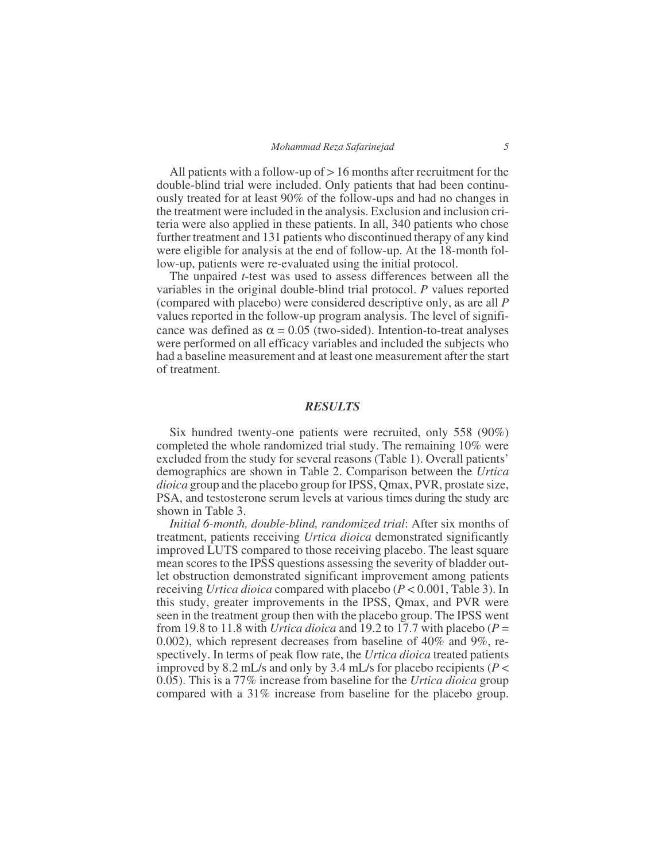All patients with a follow-up of > 16 months after recruitment for the double-blind trial were included. Only patients that had been continuously treated for at least 90% of the follow-ups and had no changes in the treatment were included in the analysis. Exclusion and inclusion criteria were also applied in these patients. In all, 340 patients who chose further treatment and 131 patients who discontinued therapy of any kind were eligible for analysis at the end of follow-up. At the 18-month follow-up, patients were re-evaluated using the initial protocol.

The unpaired *t*-test was used to assess differences between all the variables in the original double-blind trial protocol. *P* values reported (compared with placebo) were considered descriptive only, as are all *P* values reported in the follow-up program analysis. The level of significance was defined as  $\alpha = 0.05$  (two-sided). Intention-to-treat analyses were performed on all efficacy variables and included the subjects who had a baseline measurement and at least one measurement after the start of treatment.

# *RESULTS*

Six hundred twenty-one patients were recruited, only 558 (90%) completed the whole randomized trial study. The remaining 10% were excluded from the study for several reasons (Table 1). Overall patients' demographics are shown in Table 2. Comparison between the *Urtica dioica* group and the placebo group for IPSS, Qmax, PVR, prostate size, PSA, and testosterone serum levels at various times during the study are shown in Table 3.

*Initial 6-month, double-blind, randomized trial*: After six months of treatment, patients receiving *Urtica dioica* demonstrated significantly improved LUTS compared to those receiving placebo. The least square mean scores to the IPSS questions assessing the severity of bladder outlet obstruction demonstrated significant improvement among patients receiving *Urtica dioica* compared with placebo (*P* < 0.001, Table 3). In this study, greater improvements in the IPSS, Qmax, and PVR were seen in the treatment group then with the placebo group. The IPSS went from 19.8 to 11.8 with *Urtica dioica* and 19.2 to 17.7 with placebo (*P* = 0.002), which represent decreases from baseline of 40% and 9%, respectively. In terms of peak flow rate, the *Urtica dioica* treated patients improved by 8.2 mL/s and only by 3.4 mL/s for placebo recipients (*P* < 0.05). This is a 77% increase from baseline for the *Urtica dioica* group compared with a 31% increase from baseline for the placebo group.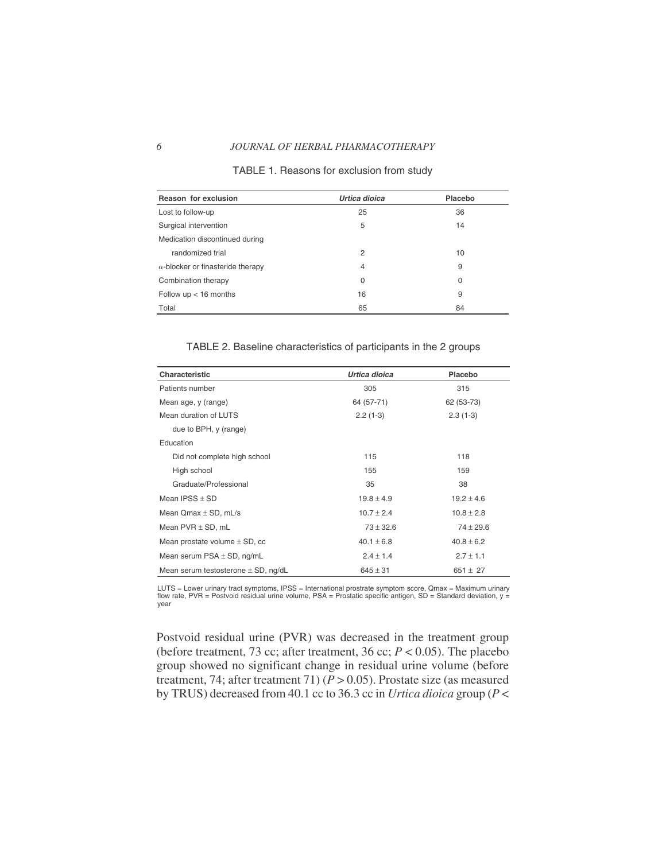### *6 JOURNAL OF HERBAL PHARMACOTHERAPY*

| Reason for exclusion                     | Urtica dioica | Placebo     |
|------------------------------------------|---------------|-------------|
| Lost to follow-up                        | 25            | 36          |
| Surgical intervention                    | 5             | 14          |
| Medication discontinued during           |               |             |
| randomized trial                         | 2             | 10          |
| $\alpha$ -blocker or finasteride therapy | 4             | 9           |
| Combination therapy                      | $\Omega$      | $\mathbf 0$ |
| Follow $up < 16$ months                  | 16            | 9           |
| Total                                    | 65            | 84          |

### TABLE 1. Reasons for exclusion from study

TABLE 2. Baseline characteristics of participants in the 2 groups

| Characteristic                          | Urtica dioica  | Placebo        |
|-----------------------------------------|----------------|----------------|
| Patients number                         | 305            | 315            |
| Mean age, y (range)                     | 64 (57-71)     | 62 (53-73)     |
| Mean duration of LUTS                   | $2.2(1-3)$     | $2.3(1-3)$     |
| due to BPH, y (range)                   |                |                |
| Education                               |                |                |
| Did not complete high school            | 115            | 118            |
| High school                             | 155            | 159            |
| Graduate/Professional                   | 35             | 38             |
| Mean IPSS $\pm$ SD                      | $19.8 \pm 4.9$ | $19.2 \pm 4.6$ |
| Mean $Qmax \pm SD$ , mL/s               | $10.7 \pm 2.4$ | $10.8 \pm 2.8$ |
| Mean $PVR \pm SD$ , mL                  | $73 \pm 32.6$  | $74 \pm 29.6$  |
| Mean prostate volume $\pm$ SD, cc       | $40.1 \pm 6.8$ | $40.8 \pm 6.2$ |
| Mean serum $PSA \pm SD$ , ng/mL         | $2.4 \pm 1.4$  | $2.7 \pm 1.1$  |
| Mean serum testosterone $\pm$ SD, ng/dL | $645 \pm 31$   | $651 \pm 27$   |

LUTS = Lower urinary tract symptoms, IPSS = International prostrate symptom score, Qmax = Maximum urinary flow rate, PVR = Postvoid residual urine volume, PSA = Prostatic specific antigen, SD = Standard deviation, y = year

Postvoid residual urine (PVR) was decreased in the treatment group (before treatment, 73 cc; after treatment, 36 cc; *P* < 0.05). The placebo group showed no significant change in residual urine volume (before treatment, 74; after treatment 71) ( $\overline{P} > 0.05$ ). Prostate size (as measured by TRUS) decreased from 40.1 cc to 36.3 cc in *Urtica dioica* group (*P* <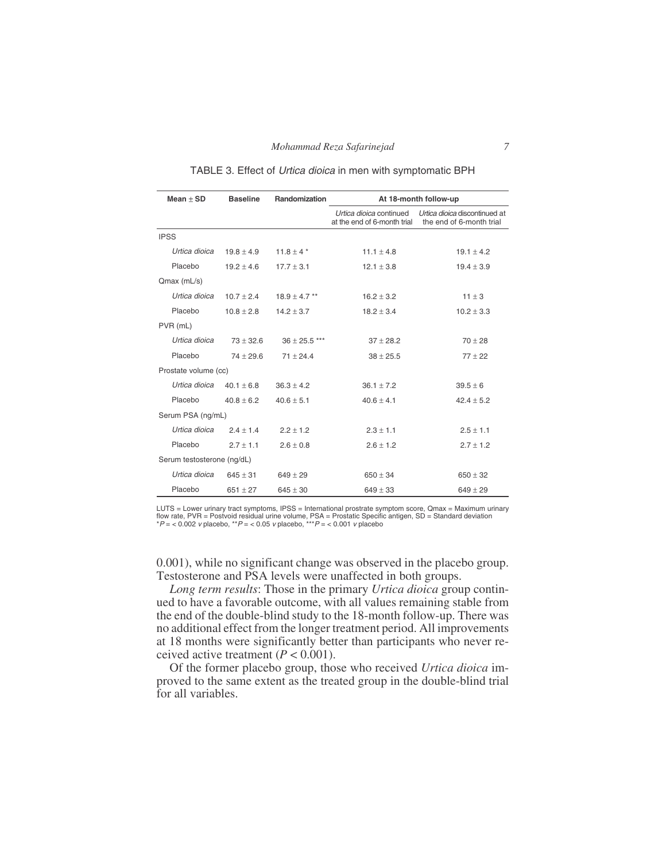| $Mean + SD$                | <b>Baseline</b> | Randomization     |                                                        |                                                           |
|----------------------------|-----------------|-------------------|--------------------------------------------------------|-----------------------------------------------------------|
|                            |                 |                   | At 18-month follow-up                                  |                                                           |
|                            |                 |                   | Urtica dioica continued<br>at the end of 6-month trial | Urtica dioica discontinued at<br>the end of 6-month trial |
| <b>IPSS</b>                |                 |                   |                                                        |                                                           |
| Urtica dioica              | $19.8 + 4.9$    | 11.8 $\pm$ 4 $*$  | $11.1 \pm 4.8$                                         | $19.1 \pm 4.2$                                            |
| Placebo                    | $19.2 + 4.6$    | $17.7 \pm 3.1$    | $12.1 \pm 3.8$                                         | $19.4 \pm 3.9$                                            |
| $Qmax$ (mL/s)              |                 |                   |                                                        |                                                           |
| Urtica dioica              | $10.7 + 2.4$    | $18.9 \pm 4.7$ ** | $16.2 \pm 3.2$                                         | $11 \pm 3$                                                |
| Placebo                    | $10.8 + 2.8$    | $14.2 \pm 3.7$    | $18.2 \pm 3.4$                                         | $10.2 \pm 3.3$                                            |
| PVR (mL)                   |                 |                   |                                                        |                                                           |
| Urtica dioica              | $73 + 32.6$     | $36 \pm 25.5$ *** | $37 + 28.2$                                            | $70 + 28$                                                 |
| Placebo                    | $74 \pm 29.6$   | $71 + 24.4$       | $38 \pm 25.5$                                          | $77 + 22$                                                 |
| Prostate volume (cc)       |                 |                   |                                                        |                                                           |
| Urtica dioica              | $40.1 + 6.8$    | $36.3 + 4.2$      | $36.1 + 7.2$                                           | $39.5 + 6$                                                |
| Placebo                    | $40.8 + 6.2$    | $40.6 + 5.1$      | $40.6 \pm 4.1$                                         | $42.4 \pm 5.2$                                            |
| Serum PSA (ng/mL)          |                 |                   |                                                        |                                                           |
| Urtica dioica              | $2.4 + 1.4$     | $2.2 + 1.2$       | $2.3 \pm 1.1$                                          | $2.5 \pm 1.1$                                             |
| Placebo                    | $2.7 + 1.1$     | $2.6 \pm 0.8$     | $2.6 \pm 1.2$                                          | $2.7 \pm 1.2$                                             |
| Serum testosterone (ng/dL) |                 |                   |                                                        |                                                           |
| Urtica dioica              | $645 + 31$      | $649 + 29$        | $650 \pm 34$                                           | $650 \pm 32$                                              |
| Placebo                    | $651 + 27$      | $645 + 30$        | $649 \pm 33$                                           | $649 \pm 29$                                              |

TABLE 3. Effect of Urtica dioica in men with symptomatic BPH

LUTS = Lower urinary tract symptoms, IPSS = International prostrate symptom score, Qmax = Maximum urinary flow rate, PVR = Postvoid residual urine volume, PSA = Prostatic Specific antigen, SD = Standard deviation<br>\*P = < 0.002 *v* placebo, \*\*P = < 0.05 *v* placebo, \*\*\*P = < 0.001 *v* placebo

0.001), while no significant change was observed in the placebo group. Testosterone and PSA levels were unaffected in both groups.

*Long term results*: Those in the primary *Urtica dioica* group continued to have a favorable outcome, with all values remaining stable from the end of the double-blind study to the 18-month follow-up. There was no additional effect from the longer treatment period. All improvements at 18 months were significantly better than participants who never received active treatment  $(P < 0.001)$ .

Of the former placebo group, those who received *Urtica dioica* improved to the same extent as the treated group in the double-blind trial for all variables.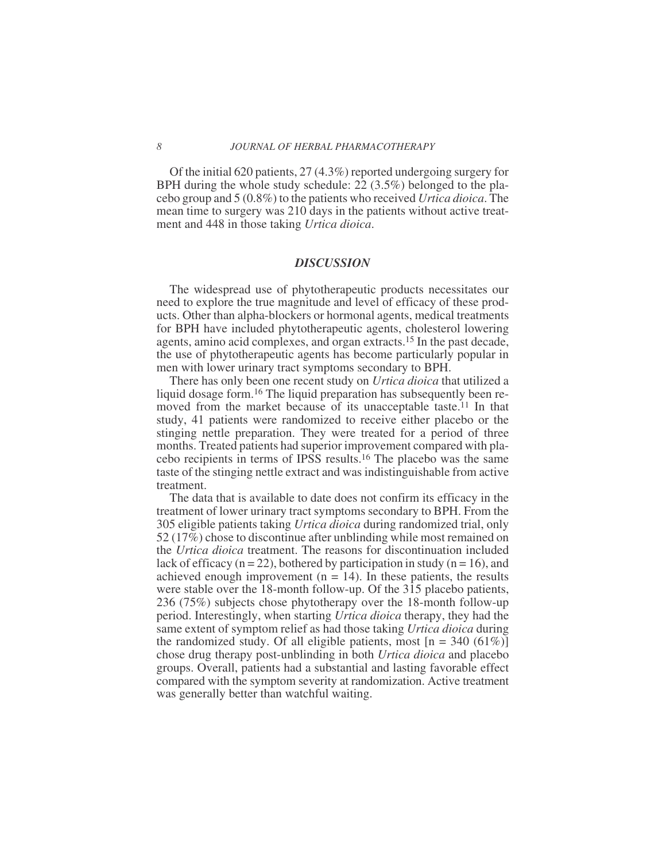### *8 JOURNAL OF HERBAL PHARMACOTHERAPY*

Of the initial 620 patients, 27 (4.3%) reported undergoing surgery for BPH during the whole study schedule: 22 (3.5%) belonged to the placebo group and 5 (0.8%) to the patients who received *Urtica dioica*. The mean time to surgery was 210 days in the patients without active treatment and 448 in those taking *Urtica dioica*.

### *DISCUSSION*

The widespread use of phytotherapeutic products necessitates our need to explore the true magnitude and level of efficacy of these products. Other than alpha-blockers or hormonal agents, medical treatments for BPH have included phytotherapeutic agents, cholesterol lowering agents, amino acid complexes, and organ extracts.15 In the past decade, the use of phytotherapeutic agents has become particularly popular in men with lower urinary tract symptoms secondary to BPH.

There has only been one recent study on *Urtica dioica* that utilized a liquid dosage form.16 The liquid preparation has subsequently been removed from the market because of its unacceptable taste.<sup>11</sup> In that study, 41 patients were randomized to receive either placebo or the stinging nettle preparation. They were treated for a period of three months. Treated patients had superior improvement compared with placebo recipients in terms of IPSS results.16 The placebo was the same taste of the stinging nettle extract and was indistinguishable from active treatment.

The data that is available to date does not confirm its efficacy in the treatment of lower urinary tract symptoms secondary to BPH. From the 305 eligible patients taking *Urtica dioica* during randomized trial, only 52 (17%) chose to discontinue after unblinding while most remained on the *Urtica dioica* treatment. The reasons for discontinuation included lack of efficacy ( $n = 22$ ), bothered by participation in study ( $n = 16$ ), and achieved enough improvement  $(n = 14)$ . In these patients, the results were stable over the 18-month follow-up. Of the 315 placebo patients, 236 (75%) subjects chose phytotherapy over the 18-month follow-up period. Interestingly, when starting *Urtica dioica* therapy, they had the same extent of symptom relief as had those taking *Urtica dioica* during the randomized study. Of all eligible patients, most  $[n = 340 (61\%)]$ chose drug therapy post-unblinding in both *Urtica dioica* and placebo groups. Overall, patients had a substantial and lasting favorable effect compared with the symptom severity at randomization. Active treatment was generally better than watchful waiting.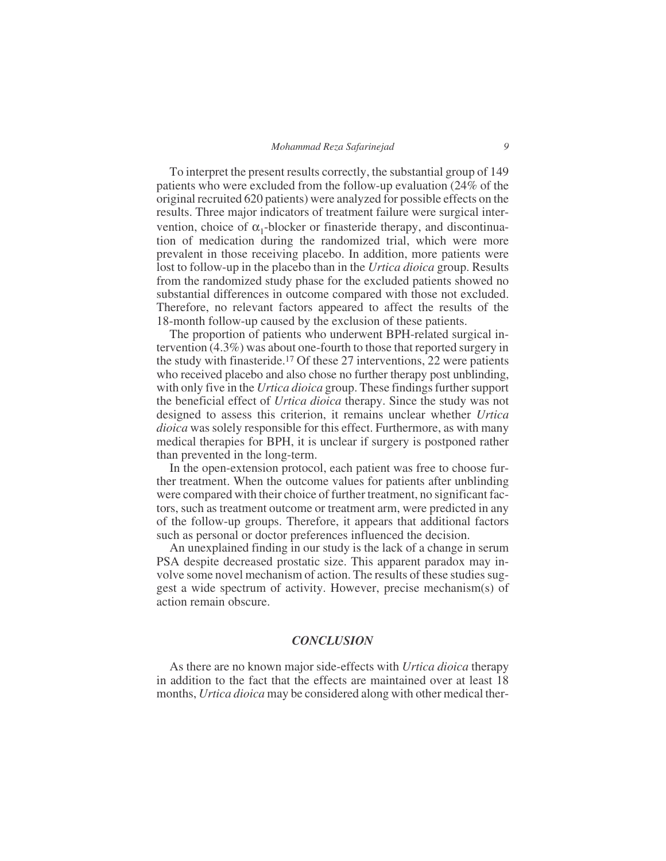### *Mohammad Reza Safarinejad 9*

To interpret the present results correctly, the substantial group of 149 patients who were excluded from the follow-up evaluation (24% of the original recruited 620 patients) were analyzed for possible effects on the results. Three major indicators of treatment failure were surgical intervention, choice of  $\alpha_1$ -blocker or finasteride therapy, and discontinuation of medication during the randomized trial, which were more prevalent in those receiving placebo. In addition, more patients were lost to follow-up in the placebo than in the *Urtica dioica* group. Results from the randomized study phase for the excluded patients showed no substantial differences in outcome compared with those not excluded. Therefore, no relevant factors appeared to affect the results of the 18-month follow-up caused by the exclusion of these patients.

The proportion of patients who underwent BPH-related surgical intervention (4.3%) was about one-fourth to those that reported surgery in the study with finasteride.17 Of these 27 interventions, 22 were patients who received placebo and also chose no further therapy post unblinding, with only five in the *Urtica dioica* group. These findings further support the beneficial effect of *Urtica dioica* therapy. Since the study was not designed to assess this criterion, it remains unclear whether *Urtica dioica* was solely responsible for this effect. Furthermore, as with many medical therapies for BPH, it is unclear if surgery is postponed rather than prevented in the long-term.

In the open-extension protocol, each patient was free to choose further treatment. When the outcome values for patients after unblinding were compared with their choice of further treatment, no significant factors, such as treatment outcome or treatment arm, were predicted in any of the follow-up groups. Therefore, it appears that additional factors such as personal or doctor preferences influenced the decision.

An unexplained finding in our study is the lack of a change in serum PSA despite decreased prostatic size. This apparent paradox may involve some novel mechanism of action. The results of these studies suggest a wide spectrum of activity. However, precise mechanism(s) of action remain obscure.

## *CONCLUSION*

As there are no known major side-effects with *Urtica dioica* therapy in addition to the fact that the effects are maintained over at least 18 months, *Urtica dioica* may be considered along with other medical ther-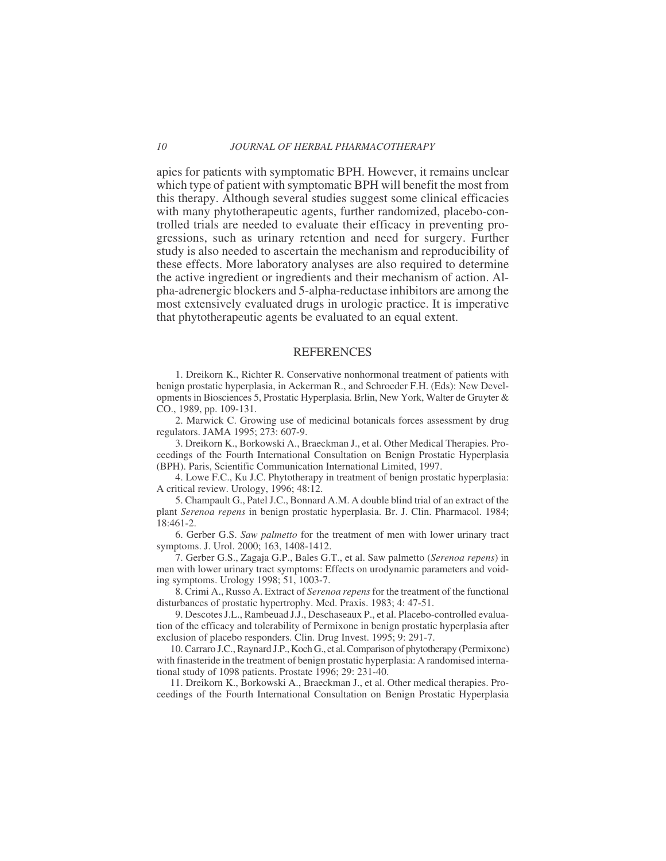### *10 JOURNAL OF HERBAL PHARMACOTHERAPY*

apies for patients with symptomatic BPH. However, it remains unclear which type of patient with symptomatic BPH will benefit the most from this therapy. Although several studies suggest some clinical efficacies with many phytotherapeutic agents, further randomized, placebo-controlled trials are needed to evaluate their efficacy in preventing progressions, such as urinary retention and need for surgery. Further study is also needed to ascertain the mechanism and reproducibility of these effects. More laboratory analyses are also required to determine the active ingredient or ingredients and their mechanism of action. Alpha-adrenergic blockers and 5-alpha-reductase inhibitors are among the most extensively evaluated drugs in urologic practice. It is imperative that phytotherapeutic agents be evaluated to an equal extent.

### REFERENCES

1. Dreikorn K., Richter R. Conservative nonhormonal treatment of patients with benign prostatic hyperplasia, in Ackerman R., and Schroeder F.H. (Eds): New Developments in Biosciences 5, Prostatic Hyperplasia. Brlin, New York, Walter de Gruyter & CO., 1989, pp. 109-131.

2. Marwick C. Growing use of medicinal botanicals forces assessment by drug regulators. JAMA 1995; 273: 607-9.

3. Dreikorn K., Borkowski A., Braeckman J., et al. Other Medical Therapies. Proceedings of the Fourth International Consultation on Benign Prostatic Hyperplasia (BPH). Paris, Scientific Communication International Limited, 1997.

4. Lowe F.C., Ku J.C. Phytotherapy in treatment of benign prostatic hyperplasia: A critical review. Urology, 1996; 48:12.

5. Champault G., Patel J.C., Bonnard A.M. A double blind trial of an extract of the plant *Serenoa repens* in benign prostatic hyperplasia. Br. J. Clin. Pharmacol. 1984; 18:461-2.

6. Gerber G.S. *Saw palmetto* for the treatment of men with lower urinary tract symptoms. J. Urol. 2000; 163, 1408-1412.

7. Gerber G.S., Zagaja G.P., Bales G.T., et al. Saw palmetto (*Serenoa repens*) in men with lower urinary tract symptoms: Effects on urodynamic parameters and voiding symptoms. Urology 1998; 51, 1003-7.

8. Crimi A., Russo A. Extract of *Serenoa repens*for the treatment of the functional disturbances of prostatic hypertrophy. Med. Praxis. 1983; 4: 47-51.

9. Descotes J.L., Rambeuad J.J., Deschaseaux P., et al. Placebo-controlled evaluation of the efficacy and tolerability of Permixone in benign prostatic hyperplasia after exclusion of placebo responders. Clin. Drug Invest. 1995; 9: 291-7.

10. Carraro J.C., Raynard J.P., Koch G., et al. Comparison of phytotherapy (Permixone) with finasteride in the treatment of benign prostatic hyperplasia: A randomised international study of 1098 patients. Prostate 1996; 29: 231-40.

11. Dreikorn K., Borkowski A., Braeckman J., et al. Other medical therapies. Proceedings of the Fourth International Consultation on Benign Prostatic Hyperplasia